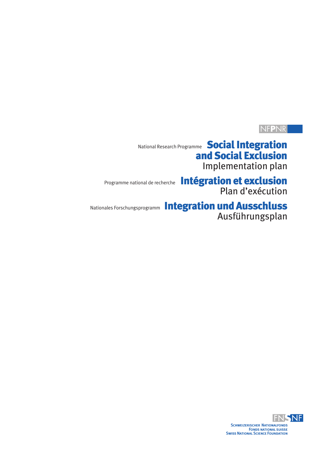# NF**P**NR

National Research Programme **Social Integration** and Social Exclusion Implementation plan

Programme national de recherche Intégration et exclusion

Plan d'exécution

# Nationales Forschungsprogramm Integration und Ausschluss

Ausführungsplan

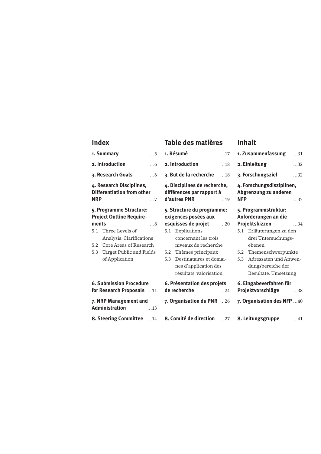### **Index**

| Index                                                                                     | Table des matières                                                                      | Inhalt                                                                         |  |
|-------------------------------------------------------------------------------------------|-----------------------------------------------------------------------------------------|--------------------------------------------------------------------------------|--|
| 1. Summary<br>$\dots$ 5                                                                   | 1. Résumé<br>$\dots$ 17                                                                 | 1. Zusammenfassung<br>$\dots$ 31                                               |  |
| 2. Introduction<br>$\dots 6$                                                              | 2. Introduction<br>$\dots$ 18                                                           | 2. Einleitung<br>$\dots$ 32                                                    |  |
| 3. Research Goals<br>$\dots6$                                                             | 3. But de la recherche<br>$\dots$ 18                                                    | 3. Forschungsziel<br>32                                                        |  |
| 4. Research Disciplines,<br><b>Differentiation from other</b><br><b>NRP</b><br>$\ldots 7$ | 4. Disciplines de recherche,<br>différences par rapport à<br>d'autres PNR<br>$\dots$ 19 | 4. Forschungsdisziplinen,<br>Abgrenzung zu anderen<br><b>NFP</b><br>$\dots$ 33 |  |
| 5. Programme Structure:<br><b>Project Outline Require-</b>                                | 5. Structure du programme:<br>exigences posées aux                                      | 5. Programmstruktur:<br>Anforderungen an die                                   |  |
| ments<br>$\dots 8$                                                                        | esquisses de projet<br>$\dots$ 20                                                       | Projektskizzen<br>$\dots$ 34                                                   |  |
| Three Levels of<br>5.1                                                                    | 5.1 Explications                                                                        | 5.1 Erläuterungen zu den                                                       |  |
| Analysis: Clarifications                                                                  | concernant les trois                                                                    | drei Untersuchungs-                                                            |  |
| Core Areas of Research<br>5.2                                                             | niveaux de recherche                                                                    | ebenen                                                                         |  |
| Target Public and Fields<br>5.3                                                           | Thèmes principaux<br>5.2<br>Destinataires et domai-<br>5.3                              | Themenschwerpunkte<br>5.2<br>Adressaten und Anwen-<br>5.3                      |  |
| of Application                                                                            | nes d'application des                                                                   | dungsbereiche der                                                              |  |
|                                                                                           | résultats: valorisation                                                                 | Resultate: Umsetzung                                                           |  |
|                                                                                           |                                                                                         |                                                                                |  |
| <b>6. Submission Procedure</b><br>for Research Proposals 11                               | 6. Présentation des projets<br>de recherche<br>$\dots$ 24                               | 6. Eingabeverfahren für<br>Projektvorschläge<br>$\dots$ 38                     |  |
| 7. NRP Management and<br><b>Administration</b><br>$\dots$ 13                              | 7. Organisation du PNR 26                                                               | 7. Organisation des NFP 40                                                     |  |
| <b>8. Steering Committee</b> 14                                                           | 8. Comité de direction 27                                                               | 8. Leitungsgruppe<br>$\dots 41$                                                |  |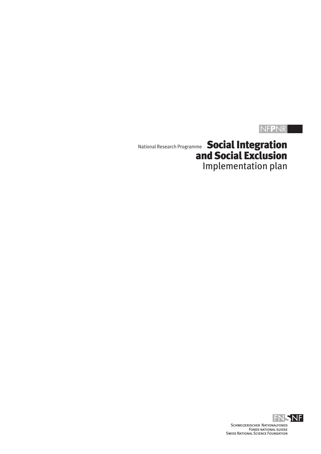# NF**P**NR

National Research Programme **Social Integration** and Social Exclusion Implementation plan

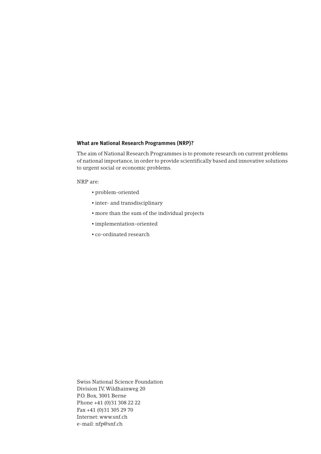#### **What are National Research Programmes (NRP)?**

The aim of National Research Programmes is to promote research on current problems of national importance, in order to provide scientifically based and innovative solutions to urgent social or economic problems.

NRP are:

- problem-oriented
- inter- and transdisciplinary
- more than the sum of the individual projects
- implementation-oriented
- co-ordinated research

Swiss National Science Foundation Division IV,Wildhainweg 20 P.O. Box, 3001 Berne Phone +41 (0)31 308 22 22 Fax +41 (0)31 305 29 70 Internet: www.snf.ch e-mail: nfp@snf.ch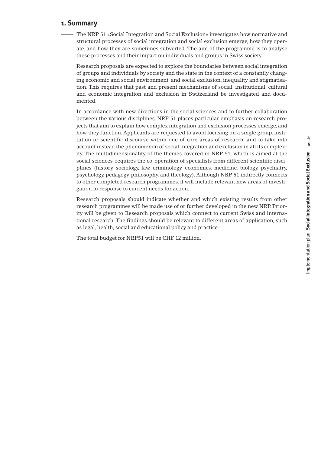# 4 5mplementation plan Social Integration and Social Exclusion Implementation plan **Social Integration and Social Exclusion**

#### **1. Summary**

The NRP 51 «Social Integration and Social Exclusion» investigates how normative and structural processes of social integration and social exclusion emerge, how they operate, and how they are sometimes subverted. The aim of the programme is to analyse these processes and their impact on individuals and groups in Swiss society.

Research proposals are expected to explore the boundaries between social integration of groups and individuals by society and the state in the context of a constantly changing economic and social environment, and social exclusion, inequality and stigmatisation. This requires that past and present mechanisms of social, institutional, cultural and economic integration and exclusion in Switzerland be investigated and documented.

In accordance with new directions in the social sciences and to further collaboration between the various disciplines, NRP 51 places particular emphasis on research projects that aim to explain how complex integration and exclusion processes emerge, and how they function. Applicants are requested to avoid focusing on a single group, institution or scientific discourse within one of core areas of research, and to take into account instead the phenomenon of social integration and exclusion in all its complexity. The multidimensionality of the themes covered in NRP 51, which is aimed at the social sciences, requires the co-operation of specialists from different scientific disciplines (history, sociology, law, criminology, economics, medicine, biology, psychiatry, psychology, pedagogy, philosophy, and theology). Although NRP 51 indirectly connects to other completed research programmes, it will include relevant new areas of investigation in response to current needs for action.

Research proposals should indicate whether and which existing results from other research programmes will be made use of or further developed in the new NRP. Priority will be given to Research proposals which connect to current Swiss and international research. The findings should be relevant to different areas of application, such as legal, health, social and educational policy and practice.

The total budget for NRP51 will be CHF 12 million.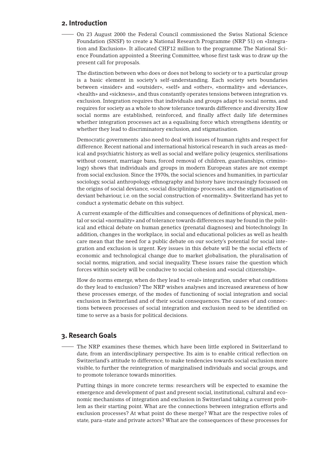#### **2. Introduction**

On 23 August 2000 the Federal Council commissioned the Swiss National Science Foundation (SNSF) to create a National Research Programme (NRP 51) on «Integration and Exclusion». It allocated CHF12 million to the programme. The National Science Foundation appointed a Steering Committee, whose first task was to draw up the present call for proposals.

The distinction between who does or does not belong to society or to a particular group is a basic element in society's self-understanding. Each society sets boundaries between «insider» and «outsider», «self» and «other», «normality» and «deviance», «health» and «sickness», and thus constantly operates tensions between integration vs. exclusion. Integration requires that individuals and groups adapt to social norms, and requires for society as a whole to show tolerance towards difference and diversity. How social norms are established, reinforced, and finally affect daily life determines whether integration processes act as a equalising force which strengthens identity, or whether they lead to discriminatory exclusion, and stigmatisation.

Democratic governments also need to deal with issues of human rights and respect for difference. Recent national and international historical research in such areas as medical and psychiatric history, as well as social and welfare policy (eugenics, sterilisations without consent, marriage bans, forced removal of children, guardianships, criminology) shows that individuals and groups in modern European states are not exempt from social exclusion. Since the 1970s, the social sciences and humanities, in particular sociology, social anthropology, ethnography and history have increasingly focussed on the origins of social deviance, «social disciplining» processes, and the stigmatisation of deviant behaviour, i.e. on the social construction of «normality». Switzerland has yet to conduct a systematic debate on this subject.

A current example of the difficulties and consequences of definitions of physical, mental or social «normality» and of tolerance towards differences may be found in the political and ethical debate on human genetics (prenatal diagnoses) and biotechnology. In addition, changes in the workplace, in social and educational policies as well as health care mean that the need for a public debate on our society's potential for social integration and exclusion is urgent. Key issues in this debate will be the social effects of economic and technological change due to market globalisation, the pluralisation of social norms, migration, and social inequality. These issues raise the question which forces within society will be conducive to social cohesion and «social citizenship».

How do norms emerge, when do they lead to «real» integration, under what conditions do they lead to exclusion? The NRP wishes analyses and increased awareness of how these processes emerge, of the modes of functioning of social integration and social exclusion in Switzerland and of their social consequences. The causes of and connections between processes of social integration and exclusion need to be identified on time to serve as a basis for political decisions.

#### **3. Research Goals**

The NRP examines these themes, which have been little explored in Switzerland to date, from an interdisciplinary perspective. Its aim is to enable critical reflection on Switzerland's attitude to difference, to make tendencies towards social exclusion more visible, to further the reintegration of marginalised individuals and social groups, and to promote tolerance towards minorities.

Putting things in more concrete terms: researchers will be expected to examine the emergence and development of past and present social, institutional, cultural and economic mechanisms of integration and exclusion in Switzerland taking a current problem as their starting point. What are the connections between integration efforts and exclusion processes? At what point do these merge? What are the respective roles of state, para-state and private actors? What are the consequences of these processes for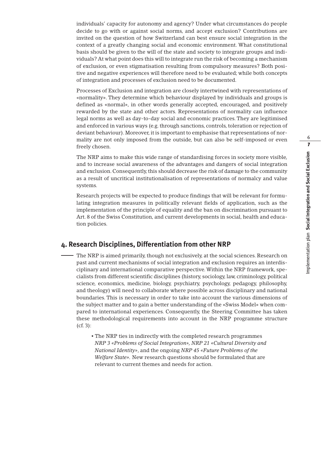individuals' capacity for autonomy and agency? Under what circumstances do people decide to go with or against social norms, and accept exclusion? Contributions are invited on the question of how Switzerland can best ensure social integration in the context of a greatly changing social and economic environment. What constitutional basis should be given to the will of the state and society to integrate groups and individuals? At what point does this will to integrate run the risk of becoming a mechanism of exclusion, or even stigmatisation resulting from compulsory measures? Both positive and negative experiences will therefore need to be evaluated; while both concepts of integration and processes of exclusion need to be documented.

Processes of Exclusion and integration are closely intertwined with representations of «normality». They determine which behaviour displayed by individuals and groups is defined as «normal», in other words generally accepted, encouraged, and positively rewarded by the state and other actors. Representations of normality can influence legal norms as well as day-to-day social and economic practices. They are legitimised and enforced in various ways (e.g. through sanctions, controls, toleration or rejection of deviant behaviour). Moreover, it is important to emphasise that representations of normality are not only imposed from the outside, but can also be self-imposed or even freely chosen.

The NRP aims to make this wide range of standardising forces in society more visible, and to increase social awareness of the advantages and dangers of social integration and exclusion. Consequently, this should decrease the risk of damage to the community as a result of uncritical institutionalisation of representations of normalcy and value systems.

Research projects will be expected to produce findings that will be relevant for formulating integration measures in politically relevant fields of application, such as the implementation of the principle of equality and the ban on discrimination pursuant to Art. 8 of the Swiss Constitution, and current developments in social, health and education policies.

#### **4. Research Disciplines, Differentiation from other NRP**

- The NRP is aimed primarily, though not exclusively, at the social sciences. Research on past and current mechanisms of social integration and exclusion requires an interdisciplinary and international comparative perspective. Within the NRP framework, specialists from different scientific disciplines (history, sociology, law, criminology, political science, economics, medicine, biology, psychiatry, psychology, pedagogy, philosophy, and theology) will need to collaborate where possible across disciplinary and national boundaries. This is necessary in order to take into account the various dimensions of the subject matter and to gain a better understanding of the «Swiss Model» when compared to international experiences. Consequently, the Steering Committee has taken these methodological requirements into account in the NRP programme structure (cf. 3):
	- The NRP ties in indirectly with the completed research programmes *NRP 3 «Problems of Social Integration», NRP 21 «Cultural Diversity and National Identity»*, and the ongoing *NRP 45 «Future Problems of the Welfare State».* New research questions should be formulated that are relevant to current themes and needs for action.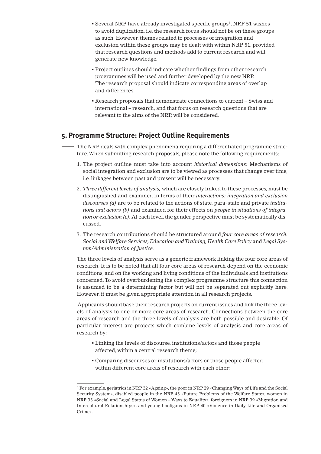- Several NRP have already investigated specific groups1. NRP 51 wishes to avoid duplication, i.e. the research focus should not be on these groups as such. However, themes related to processes of integration and exclusion within these groups may be dealt with within NRP 51, provided that research questions and methods add to current research and will generate new knowledge.
- Project outlines should indicate whether findings from other research programmes will be used and further developed by the new NRP. The research proposal should indicate corresponding areas of overlap and differences.
- Research proposals that demonstrate connections to current Swiss and international – research, and that focus on research questions that are relevant to the aims of the NRP, will be considered.

#### **5. Programme Structure: Project Outline Requirements**

The NRP deals with complex phenomena requiring a differentiated programme structure.When submitting research proposals, please note the following requirements:

- 1. The project outline must take into account *historical dimensions:* Mechanisms of social integration and exclusion are to be viewed as processes that change over time, i.e. linkages between past and present will be necessary.
- 2. *Three different levels of analysis,* which are closely linked to these processes, must be distinguished and examined in terms of their *interactions: integration and exclusion discourses (a)* are to be related to the actions of state, para-state and private *institutions and actors (b)* and examined for their effects on *people in situations of integration or exclusion (c).*At each level, the gender perspective must be systematically discussed.
- 3. The research contributions should be structured around *four core areas of research: Social and Welfare Services, Education and Training, Health Care Policy* and *Legal System/Administration of Justice.*

The three levels of analysis serve as a generic framework linking the four core areas of research. It is to be noted that all four core areas of research depend on the economic conditions, and on the working and living conditions of the individuals and institutions concerned.To avoid overburdening the complex programme structure this connection is assumed to be a determining factor but will not be separated out explicitly here. However, it must be given appropriate attention in all research projects.

Applicants should base their research projects on current issues and link the three levels of analysis to one or more core areas of research. Connections between the core areas of research and the three levels of analysis are both possible and desirable. Of particular interest are projects which combine levels of analysis and core areas of research by:

- Linking the levels of discourse, institutions/actors and those people affected, within a central research theme;
- Comparing discourses or institutions/actors or those people affected within different core areas of research with each other;

<sup>1</sup> For example, geriatrics in NRP 32 «Ageing», the poor in NRP 29 «Changing Ways of Life and the Social Security System», disabled people in the NRP 45 «Future Problems of the Welfare State», women in NRP 35 «Social and Legal Status of Women – Ways to Equality», foreigners in NRP 39 «Migration and Intercultural Relationships», and young hooligans in NRP 40 «Violence in Daily Life and Organised Crime».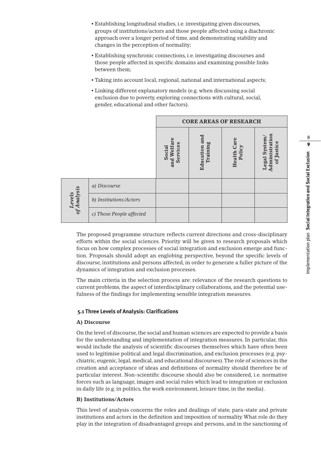- Establishing longitudinal studies, i.e. investigating given discourses, groups of institutions/actors and those people affected using a diachronic approach over a longer period of time, and demonstrating stability and changes in the perception of normality;
- Establishing synchronic connections, i.e. investigating discourses and those people affected in specific domains and examining possible links between them;
- Taking into account local, regional, national and international aspects;
- Linking different explanatory models (e.g. when discussing social exclusion due to poverty, exploring connections with cultural, social, gender, educational and other factors).

|                       |                          | <b>CORE AREAS OF RESEARCH</b>     |                           |                              |                                                  |
|-----------------------|--------------------------|-----------------------------------|---------------------------|------------------------------|--------------------------------------------------|
|                       |                          | and Welfare<br>Services<br>Social | Education and<br>Training | <b>Health Care</b><br>Policy | Administration<br>System/<br>of Justice<br>Legal |
| of Analysis<br>Levels | a) Discourse             |                                   |                           |                              |                                                  |
|                       | b) Institutions/Actors   |                                   |                           |                              |                                                  |
|                       | c) Those People affected |                                   |                           |                              |                                                  |

The proposed programme structure reflects current directions and cross-disciplinary efforts within the social sciences. Priority will be given to research proposals which focus on how complex processes of social integration and exclusion emerge and function. Proposals should adopt an englobing perspective, beyond the specific levels of discourse, institutions and persons affected, in order to generate a fuller picture of the dynamics of integration and exclusion processes.

The main criteria in the selection process are: relevance of the research questions to current problems, the aspect of interdisciplinary collaborations, and the potential usefulness of the findings for implementing sensible integration measures.

#### **5.1 Three Levels of Analysis: Clarifications**

#### **A) Discourse**

On the level of discourse, the social and human sciences are expected to provide a basis for the understanding and implementation of integration measures. In particular, this would include the analysis of scientific discourses themselves which have often been used to legitimise political and legal discrimination, and exclusion processes (e.g. psychiatric, eugenic, legal, medical, and educational discourses).The role of sciences in the creation and acceptance of ideas and definitions of normality should therefore be of particular interest. Non-scientific discourse should also be considered, i.e. normative forces such as language, images and social rules which lead to integration or exclusion in daily life (e.g. in politics, the work environment, leisure time, in the media).

#### **B) Institutions/Actors**

This level of analysis concerns the roles and dealings of state, para-state and private institutions and actors in the definition and imposition of normality.What role do they play in the integration of disadvantaged groups and persons, and in the sanctioning of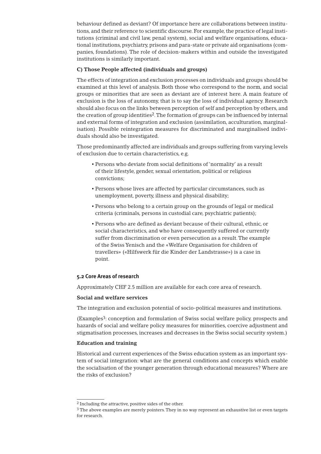behaviour defined as deviant? Of importance here are collaborations between institutions, and their reference to scientific discourse. For example, the practice of legal institutions (criminal and civil law, penal system), social and welfare organisations, educational institutions, psychiatry, prisons and para-state or private aid organisations (companies, foundations). The role of decision-makers within and outside the investigated institutions is similarly important.

#### **C) Those People affected (individuals and groups)**

The effects of integration and exclusion processes on individuals and groups should be examined at this level of analysis. Both those who correspond to the norm, and social groups or minorities that are seen as deviant are of interest here. A main feature of exclusion is the loss of autonomy, that is to say the loss of individual agency. Research should also focus on the links between perception of self and perception by others, and the creation of group identities<sup>2</sup>. The formation of groups can be influenced by internal and external forms of integration and exclusion (assimilation, acculturation, marginalisation). Possible reintegration measures for discriminated and marginalised individuals should also be investigated.

Those predominantly affected are individuals and groups suffering from varying levels of exclusion due to certain characteristics, e.g.

- Persons who deviate from social definitions of 'normality' as a result of their lifestyle, gender, sexual orientation, political or religious convictions;
- Persons whose lives are affected by particular circumstances, such as unemployment, poverty, illness and physical disability;
- Persons who belong to a certain group on the grounds of legal or medical criteria (criminals, persons in custodial care, psychiatric patients);
- Persons who are defined as deviant because of their cultural, ethnic, or social characteristics, and who have consequently suffered or currently suffer from discrimination or even persecution as a result.The example of the Swiss Yenisch and the «Welfare Organisation for children of travellers» («Hilfswerk für die Kinder der Landstrasse») is a case in point.

#### **5.2 Core Areas of research**

Approximately CHF 2.5 million are available for each core area of research.

#### **Social and welfare services**

The integration and exclusion potential of socio-political measures and institutions.

(Examples3: conception and formulation of Swiss social welfare policy, prospects and hazards of social and welfare policy measures for minorities, coercive adjustment and stigmatisation processes, increases and decreases in the Swiss social security system.)

#### **Education and training**

Historical and current experiences of the Swiss education system as an important system of social integration: what are the general conditions and concepts which enable the socialisation of the younger generation through educational measures? Where are the risks of exclusion?

<sup>2</sup> Including the attractive, positive sides of the other.

<sup>3</sup> The above examples are merely pointers.They in no way represent an exhaustive list or even targets for research.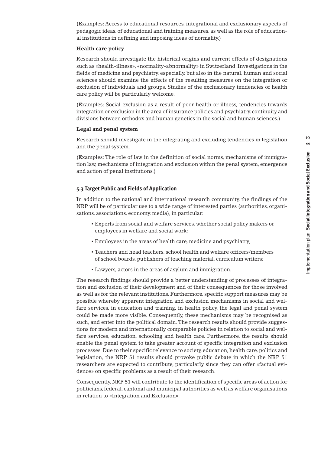(Examples: Access to educational resources, integrational and exclusionary aspects of pedagogic ideas, of educational and training measures, as well as the role of educational institutions in defining and imposing ideas of normality.)

#### **Health care policy**

Research should investigate the historical origins and current effects of designations such as «health-illness», «normality-abnormality» in Switzerland. Investigations in the fields of medicine and psychiatry, especially, but also in the natural, human and social sciences should examine the effects of the resulting measures on the integration or exclusion of individuals and groups. Studies of the exclusionary tendencies of health care policy will be particularly welcome.

(Examples: Social exclusion as a result of poor health or illness, tendencies towards integration or exclusion in the area of insurance policies and psychiatry, continuity and divisions between orthodox and human genetics in the social and human sciences.)

#### **Legal and penal system**

Research should investigate in the integrating and excluding tendencies in legislation and the penal system.

(Examples: The role of law in the definition of social norms, mechanisms of immigration law, mechanisms of integration and exclusion within the penal system, emergence and action of penal institutions.)

#### **5.3 Target Public and Fields of Application**

In addition to the national and international research community, the findings of the NRP will be of particular use to a wide range of interested parties (authorities, organisations, associations, economy, media), in particular:

- Experts from social and welfare services, whether social policy makers or employees in welfare and social work;
- Employees in the areas of health care, medicine and psychiatry;
- Teachers and head teachers, school health and welfare officers/members of school boards, publishers of teaching material, curriculum writers;
- Lawyers, actors in the areas of asylum and immigration.

The research findings should provide a better understanding of processes of integration and exclusion of their development and of their consequences for those involved as well as for the relevant institutions. Furthermore, specific support measures may be possible whereby apparent integration and exclusion mechanisms in social and welfare services, in education and training, in health policy, the legal and penal system could be made more visible. Consequently, these mechanisms may be recognised as such, and enter into the political domain. The research results should provide suggestions for modern and internationally comparable policies in relation to social and welfare services, education, schooling and health care. Furthermore, the results should enable the penal system to take greater account of specific integration and exclusion processes. Due to their specific relevance to society, education, health care, politics and legislation, the NRP 51 results should provoke public debate in which the NRP 51 researchers are expected to contribute, particularly since they can offer «factual evidence» on specific problems as a result of their research.

Consequently, NRP 51 will contribute to the identification of specific areas of action for politicians, federal, cantonal and municipal authorities as well as welfare organisations in relation to «Integration and Exclusion».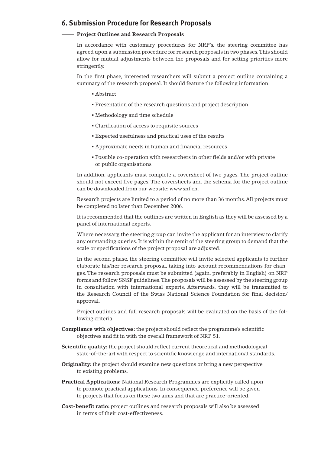#### **6. Submission Procedure for Research Proposals**

#### **Project Outlines and Research Proposals**

In accordance with customary procedures for NRP's, the steering committee has agreed upon a submission procedure for research proposals in two phases.This should allow for mutual adjustments between the proposals and for setting priorities more stringently.

In the first phase, interested researchers will submit a project outline containing a summary of the research proposal. It should feature the following information:

- Abstract
- Presentation of the research questions and project description
- Methodology and time schedule
- Clarification of access to requisite sources
- Expected usefulness and practical uses of the results
- Approximate needs in human and financial resources
- Possible co-operation with researchers in other fields and/or with private or public organisations

In addition, applicants must complete a coversheet of two pages. The project outline should not exceed five pages. The coversheets and the schema for the project outline can be downloaded from our website: www.snf.ch.

Research projects are limited to a period of no more than 36 months. All projects must be completed no later than December 2006.

It is recommended that the outlines are written in English as they will be assessed by a panel of international experts.

Where necessary, the steering group can invite the applicant for an interview to clarify any outstanding queries. It is within the remit of the steering group to demand that the scale or specifications of the project proposal are adjusted.

In the second phase, the steering committee will invite selected applicants to further elaborate his/her research proposal, taking into account recommendations for changes. The research proposals must be submitted (again, preferably in English) on NRP forms and follow SNSF guidelines.The proposals will be assessed by the steering group in consultation with international experts. Afterwards, they will be transmitted to the Research Council of the Swiss National Science Foundation for final decision/ approval.

Project outlines and full research proposals will be evaluated on the basis of the following criteria:

- **Compliance with objectives:** the project should reflect the programme's scientific objectives and fit in with the overall framework of NRP 51.
- **Scientific quality:** the project should reflect current theoretical and methodological state-of-the-art with respect to scientific knowledge and international standards.
- **Originality:** the project should examine new questions or bring a new perspective to existing problems.
- **Practical Applications:** National Research Programmes are explicitly called upon to promote practical applications. In consequence, preference will be given to projects that focus on these two aims and that are practice-oriented.
- **Cost-benefit ratio:** project outlines and research proposals will also be assessed in terms of their cost-effectiveness.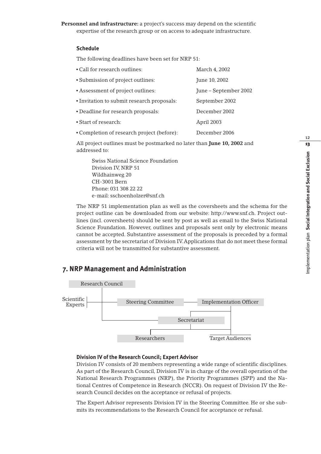**Personnel and infrastructure:** a project's success may depend on the scientific expertise of the research group or on access to adequate infrastructure.

#### **Schedule**

The following deadlines have been set for NRP 51:

| • Call for research outlines:              | March 4, 2002         |
|--------------------------------------------|-----------------------|
| • Submission of project outlines:          | June 10, 2002         |
| • Assessment of project outlines:          | June – September 2002 |
| • Invitation to submit research proposals: | September 2002        |
| · Deadline for research proposals:         | December 2002         |
| • Start of research:                       | April 2003            |
| • Completion of research project (before): | December 2006         |

All project outlines must be postmarked no later than **June 10, 2002** and addressed to:

Swiss National Science Foundation Division IV, NRP 51 Wildhainweg 20 CH-3001 Bern Phone: 031 308 22 22 e-mail: sschoenholzer@snf.ch

The NRP 51 implementation plan as well as the coversheets and the schema for the project outline can be downloaded from our website: http://www.snf.ch. Project outlines (incl. coversheets) should be sent by post as well as email to the Swiss National Science Foundation. However, outlines and proposals sent only by electronic means cannot be accepted. Substantive assessment of the proposals is preceded by a formal assessment by the secretariat of Division IV.Applications that do not meet these formal criteria will not be transmitted for substantive assessment.

#### **7. NRPManagement and Administration**



#### **Division IV of the Research Council; Expert Advisor**

Division IV consists of 20 members representing a wide range of scientific disciplines. As part of the Research Council, Division IV is in charge of the overall operation of the National Research Programmes (NRP), the Priority Programmes (SPP) and the National Centres of Competence in Research (NCCR). On request of Division IV the Research Council decides on the acceptance or refusal of projects.

The Expert Advisor represents Division IV in the Steering Committee. He or she submits its recommendations to the Research Council for acceptance or refusal.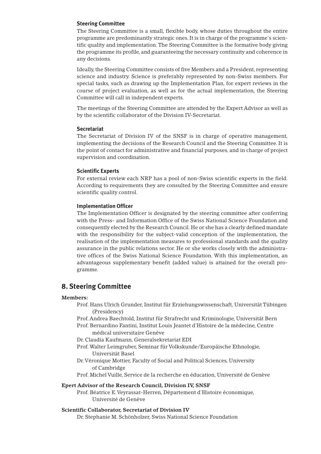#### **Steering Committee**

The Steering Committee is a small, flexible body, whose duties throughout the entire programme are predominantly strategic ones. It is in charge of the programme's scientific quality and implementation.The Steering Committee is the formative body giving the programme its profile, and guaranteeing the necessary continuity and coherence in any decisions.

Ideally, the Steering Committee consists of five Members and a President, representing science and industry. Science is preferably represented by non-Swiss members. For special tasks, such as drawing up the Implementation Plan, for expert reviews in the course of project evaluation, as well as for the actual implementation, the Steering Committee will call in independent experts.

The meetings of the Steering Committee are attended by the Expert Advisor as well as by the scientific collaborator of the Division IV-Secretariat.

#### **Secretariat**

The Secretariat of Division IV of the SNSF is in charge of operative management, implementing the decisions of the Research Council and the Steering Committee. It is the point of contact for administrative and financial purposes, and in charge of project supervision and coordination.

#### **Scientific Experts**

For external review each NRP has a pool of non-Swiss scientific experts in the field. According to requirements they are consulted by the Steering Committee and ensure scientific quality control.

#### **Implementation Officer**

The Implementation Officer is designated by the steering committee after conferring with the Press- and Information Office of the Swiss National Science Foundation and consequently elected by the Research Council. He or she has a clearly defined mandate with the responsibility for the subject-valid conception of the implementation, the realisation of the implementation measures to professional standards and the quality assurance in the public relations sector. He or she works closely with the administrative offices of the Swiss National Science Foundation. With this implementation, an advantageous supplementary benefit (added value) is attained for the overall programme.

#### **8. Steering Committee**

#### **Members:**

- Prof. Hans Ulrich Grunder, Institut für Erziehungswissenschaft, Universität Tübingen (Presidency)
- Prof. Andrea Baechtold, Institut für Strafrecht und Kriminologie, Universität Bern
- Prof. Bernardino Fantini, Institut Louis Jeantet d'Histoire de la médecine, Centre médical universitaire Genève

Dr. Claudia Kaufmann, Generalsekretariat EDI

- Prof.Walter Leimgruber, Seminar für Volkskunde/Europäische Ethnologie, Universität Basel
- Dr.Véronique Mottier, Faculty of Social and Political Sciences, University of Cambridge
- Prof. Michel Vuille, Service de la recherche en éducation, Université de Genève

#### **Epert Advisor of the Research Council, Division IV, SNSF**

Prof. Béatrice E.Veyrassat-Herren, Département d'Histoire économique, Université de Genève

#### **Scientific Collaborator, Secretariat of Division IV**

Dr. Stephanie M. Schönholzer, Swiss National Science Foundation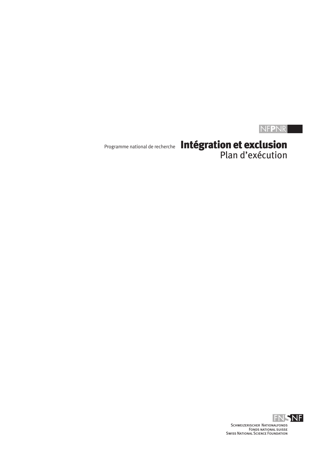# NF**P**NR

Programme national de recherche Intégration et exclusion Plan d'exécution

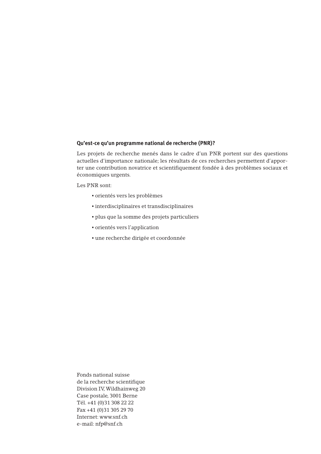#### **Qu'est-ce qu'un programme national de recherche (PNR)?**

Les projets de recherche menés dans le cadre d'un PNR portent sur des questions actuelles d'importance nationale; les résultats de ces recherches permettent d'apporter une contribution novatrice et scientifiquement fondée à des problèmes sociaux et économiques urgents.

Les PNR sont:

- orientés vers les problèmes
- interdisciplinaires et transdisciplinaires
- plus que la somme des projets particuliers
- orientés vers l'application
- une recherche dirigée et coordonnée

Fonds national suisse de la recherche scientifique Division IV,Wildhainweg 20 Case postale, 3001 Berne Tél. +41 (0)31 308 22 22 Fax +41 (0)31 305 29 70 Internet: www.snf.ch e-mail: nfp@snf.ch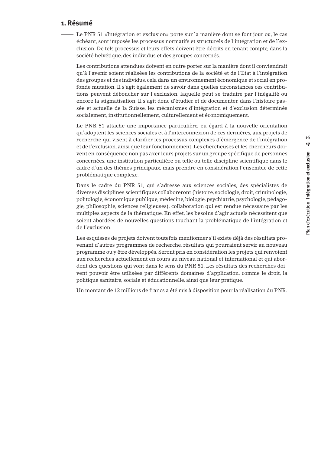#### **1. Résumé**

Le PNR 51 «Intégration et exclusion» porte sur la manière dont se font jour ou, le cas échéant, sont imposés les processus normatifs et structurels de l'intégration et de l'exclusion. De tels processus et leurs effets doivent être décrits en tenant compte, dans la société helvétique, des individus et des groupes concernés.

Les contributions attendues doivent en outre porter sur la manière dont il conviendrait qu'à l'avenir soient réalisées les contributions de la société et de l'Etat à l'intégration des groupes et des individus, cela dans un environnement économique et social en profonde mutation. Il s'agit également de savoir dans quelles circonstances ces contributions peuvent déboucher sur l'exclusion, laquelle peut se traduire par l'inégalité ou encore la stigmatisation. Il s'agit donc d'étudier et de documenter, dans l'histoire passée et actuelle de la Suisse, les mécanismes d'intégration et d'exclusion déterminés socialement, institutionnellement, culturellement et économiquement.

Le PNR 51 attache une importance particulière, eu égard à la nouvelle orientation qu'adoptent les sciences sociales et à l'interconnexion de ces dernières, aux projets de recherche qui visent à clarifier les processus complexes d'émergence de l'intégration et de l'exclusion, ainsi que leur fonctionnement. Les chercheuses et les chercheurs doivent en conséquence non pas axer leurs projets sur un groupe spécifique de personnes concernées, une institution particulière ou telle ou telle discipline scientifique dans le cadre d'un des thèmes principaux, mais prendre en considération l'ensemble de cette problématique complexe.

Dans le cadre du PNR 51, qui s'adresse aux sciences sociales, des spécialistes de diverses disciplines scientifiques collaboreront (histoire, sociologie, droit, criminologie, politologie, économique publique, médecine, biologie, psychiatrie, psychologie, pédagogie, philosophie, sciences religieuses), collaboration qui est rendue nécessaire par les multiples aspects de la thématique. En effet, les besoins d'agir actuels nécessitent que soient abordées de nouvelles questions touchant la problématique de l'intégration et de l'exclusion.

Les esquisses de projets doivent toutefois mentionner s'il existe déjà des résultats provenant d'autres programmes de recherche, résultats qui pourraient servir au nouveau programme ou y être développés. Seront pris en considération les projets qui renvoient aux recherches actuellement en cours au niveau national et international et qui abordent des questions qui vont dans le sens du PNR 51. Les résultats des recherches doivent pouvoir être utilisées par différents domaines d'application, comme le droit, la politique sanitaire, sociale et éducationnelle, ainsi que leur pratique.

Un montant de 12 millions de francs a été mis à disposition pour la réalisation du PNR.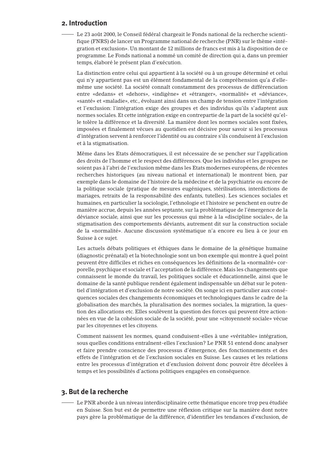#### **2. Introduction**

Le 23 août 2000, le Conseil fédéral chargeait le Fonds national de la recherche scientifique (FNRS) de lancer un Programme national de recherche (PNR) sur le thème «intégration et exclusion». Un montant de 12 millions de francs est mis à la disposition de ce programme. Le Fonds national a nommé un comité de direction qui a, dans un premier temps, élaboré le présent plan d'exécution.

La distinction entre celui qui appartient à la société ou à un groupe déterminé et celui qui n'y appartient pas est un élément fondamental de la compréhension qu'a d'ellemême une société. La société connaît constamment des processus de différenciation entre «dedans» et «dehors», «indigène» et «étranger», «normalité» et «déviance», «santé» et «maladie», etc., évoluant ainsi dans un champ de tension entre l'intégration et l'exclusion: l'intégration exige des groupes et des individus qu'ils s'adaptent aux normes sociales. Et cette intégration exige en contrepartie de la part de la société qu'elle tolère la différence et la diversité. La manière dont les normes sociales sont fixées, imposées et finalement vécues au quotidien est décisive pour savoir si les processus d'intégration servent à renforcer l'identité ou au contraire s'ils conduisent à l'exclusion et à la stigmatisation.

Même dans les Etats démocratiques, il est nécessaire de se pencher sur l'application des droits de l'homme et le respect des différences. Que les individus et les groupes ne soient pas à l'abri de l'exclusion même dans les Etats modernes européens, de récentes recherches historiques (au niveau national et international) le montrent bien, par exemple dans le domaine de l'histoire de la médecine et de la psychiatrie ou encore de la politique sociale (pratique de mesures eugéniques, stérilisations, interdictions de mariages, retraits de la responsabilité des enfants, tutelles). Les sciences sociales et humaines, en particulier la sociologie, l'ethnologie et l'histoire se penchent en outre de manière accrue, depuis les années septante, sur la problématique de l'émergence de la déviance sociale, ainsi que sur les processus qui mène à la «discipline sociale», de la stigmatisation des comportements déviants, autrement dit sur la construction sociale de la «normalité». Aucune discussion systématique n'a encore eu lieu à ce jour en Suisse à ce sujet.

Les actuels débats politiques et éthiques dans le domaine de la génétique humaine (diagnostic prénatal) et la biotechnologie sont un bon exemple qui montre à quel point peuvent être difficiles et riches en conséquences les définitions de la «normalité» corporelle, psychique et sociale et l'acceptation de la différence. Mais les changements que connaissent le monde du travail, les politiques sociale et éducationnelle, ainsi que le domaine de la santé publique rendent également indispensable un débat sur le potentiel d'intégration et d'exclusion de notre société. On songe ici en particulier aux conséquences sociales des changements économiques et technologiques dans le cadre de la globalisation des marchés, la pluralisation des normes sociales, la migration, la question des allocations etc. Elles soulèvent la question des forces qui peuvent être actionnées en vue de la cohésion sociale de la société, pour une «citoyenneté sociale» vécue par les citoyennes et les citoyens.

Comment naissent les normes, quand conduisent-elles à une «véritable» intégration, sous quelles conditions entraînent-elles l'exclusion? Le PNR 51 entend donc analyser et faire prendre conscience des processus d'émergence, des fonctionnements et des effets de l'intégration et de l'exclusion sociales en Suisse. Les causes et les relations entre les processus d'intégration et d'exclusion doivent donc pouvoir être décelées à temps et les possibilités d'actions politiques engagées en conséquence.

#### **3. But de la recherche**

Le PNR aborde à un niveau interdisciplinaire cette thématique encore trop peu étudiée en Suisse. Son but est de permettre une réflexion critique sur la manière dont notre pays gère la problématique de la différence, d'identifier les tendances d'exclusion, de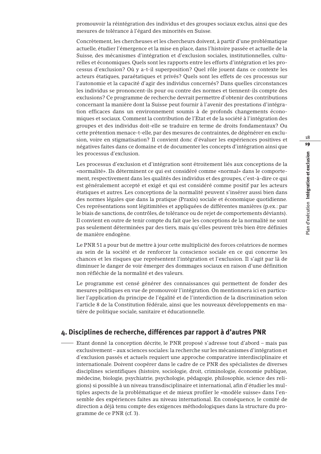promouvoir la réintégration des individus et des groupes sociaux exclus, ainsi que des mesures de tolérance à l'égard des minorités en Suisse.

Concrètement, les chercheuses et les chercheurs doivent, à partir d'une problématique actuelle, étudier l'émergence et la mise en place, dans l'histoire passée et actuelle de la Suisse, des mécanismes d'intégration et d'exclusion sociales, institutionnelles, culturelles et économiques. Quels sont les rapports entre les efforts d'intégration et les processus d'exclusion? Où y a-t-il superposition? Quel rôle jouent dans ce contexte les acteurs étatiques, paraétatiques et privés? Quels sont les effets de ces processus sur l'autonomie et la capacité d'agir des individus concernés? Dans quelles circonstances les individus se prononcent-ils pour ou contre des normes et tiennent-ils compte des exclusions? Ce programme de recherche devrait permettre d'obtenir des contributions concernant la manière dont la Suisse peut fournir à l'avenir des prestations d'intégration efficaces dans un environnement soumis à de profonds changements économiques et sociaux. Comment la contribution de l'Etat et de la société à l'intégration des groupes et des individus doit-elle se traduire en terme de droits fondamentaux? Ou cette prétention menace-t-elle, par des mesures de contraintes, de dégénérer en exclusion, voire en stigmatisation? Il convient donc d'évaluer les expériences positives et négatives faites dans ce domaine et de documenter les concepts d'intégration ainsi que les processus d'exclusion.

Les processus d'exclusion et d'intégration sont étroitement liés aux conceptions de la «normalité». Ils déterminent ce qui est considéré comme «normal» dans le comportement, respectivement dans les qualités des individus et des groupes, c'est-à-dire ce qui est généralement accepté et exigé et qui est considéré comme positif par les acteurs étatiques et autres. Les conceptions de la normalité peuvent s'insérer aussi bien dans des normes légales que dans la pratique (Praxis) sociale et économique quotidienne. Ces représentations sont légitimitées et appliquées de différentes manières (p.ex.: par le biais de sanctions, de contrôles, de tolérance ou de rejet de comportements déviants). Il convient en outre de tenir compte du fait que les conceptions de la normalité ne sont pas seulement déterminées par des tiers, mais qu'elles peuvent très bien être définies de manière endogène.

Le PNR 51 a pour but de mettre à jour cette multiplicité des forces créatrices de normes au sein de la société et de renforcer la conscience sociale en ce qui concerne les chances et les risques que représentent l'intégration et l'exclusion. Il s'agit par là de diminuer le danger de voir émerger des dommages sociaux en raison d'une définition non réfléchie de la normalité et des valeurs.

Le programme est censé générer des connaissances qui permettent de fonder des mesures politiques en vue de promouvoir l'intégration. On mentionnera ici en particulier l'application du principe de l'égalité et de l'interdiction de la discrimination selon l'article 8 de la Constitution fédérale, ainsi que les nouveaux développements en matière de politique sociale, sanitaire et éducationnelle.

#### **4. Disciplines de recherche, différences par rapport à d'autres PNR**

Etant donné la conception décrite, le PNR proposé s'adresse tout d'abord – mais pas exclusivement – aux sciences sociales: la recherche sur les mécanismes d'intégration et d'exclusion passés et actuels requiert une approche comparative interdisciplinaire et internationale. Doivent coopérer dans le cadre de ce PNR des spécialistes de diverses disciplines scientifiques (histoire, sociologie, droit, criminologie, économie publique, médecine, biologie, psychiatrie, psychologie, pédagogie, philosophie, science des religions) si possible à un niveau transdisciplinaire et international, afin d'étudier les multiples aspects de la problématique et de mieux profiler le «modèle suisse» dans l'ensemble des expériences faites au niveau international. En conséquence, le comité de direction a déjà tenu compte des exigences méthodologiques dans la structure du programme de ce PNR (cf. 3).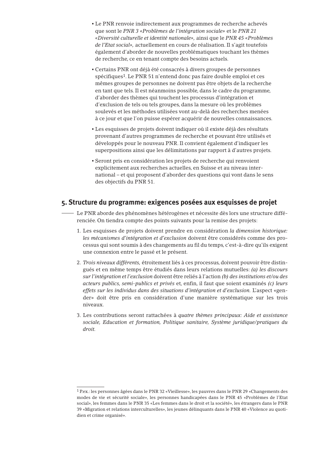- Le PNR renvoie indirectement aux programmes de recherche achevés que sont le *PNR 3 «Problèmes de l'intégration sociale»* et le *PNR 21 «Diversité culturelle et identité nationale»,* ainsi que le *PNR 45 «Problèmes de l'Etat social»,* actuellement en cours de réalisation. Il s'agit toutefois également d'aborder de nouvelles problématiques touchant les thèmes de recherche, ce en tenant compte des besoins actuels.
- Certains PNR ont déjà été consacrés à divers groupes de personnes spécifiques<sup>1</sup>. Le PNR 51 n'entend donc pas faire double emploi et ces mêmes groupes de personnes ne doivent pas être objets de la recherche en tant que tels. Il est néanmoins possible, dans le cadre du programme, d'aborder des thèmes qui touchent les processus d'intégration et d'exclusion de tels ou tels groupes, dans la mesure où les problèmes soulevés et les méthodes utilisées vont au-delà des recherches menées à ce jour et que l'on puisse espérer acquérir de nouvelles connaissances.
- Les esquisses de projets doivent indiquer où il existe déjà des résultats provenant d'autres programmes de recherche et pouvant être utilisés et développés pour le nouveau PNR. Il convient également d'indiquer les superpositions ainsi que les délimitations par rapport à d'autres projets.
- Seront pris en considération les projets de recherche qui renvoient explicitement aux recherches actuelles, en Suisse et au niveau international – et qui proposent d'aborder des questions qui vont dans le sens des objectifs du PNR 51.

#### **5. Structure du programme: exigences posées aux esquisses de projet**

- Le PNR aborde des phénomènes hétérogènes et nécessite dès lors une structure différenciée. On tiendra compte des points suivants pour la remise des projets:
	- 1. Les esquisses de projets doivent prendre en considération *la dimension historique: les mécanismes d'intégration et d'exclusion* doivent être considérés comme des processus qui sont soumis à des changements au fil du temps, c'est-à-dire qu'ils exigent une connexion entre le passé et le présent.
	- 2. *Trois niveaux différents,* étroitement liés à ces processus, doivent pouvoir être distingués et en même temps être étudiés dans leurs relations mutuelles: *(a) les discours sur l'intégration et l'exclusion* doivent être reliés à l'action *(b) des institutions et/ou des acteurs publics, semi-publics et privés* et, enfin, il faut que soient examinés *(c) leurs effets sur les individus dans des situations d'intégration et d'exclusion.* L'aspect «gender» doit être pris en considération d'une manière systématique sur les trois niveaux.
	- 3. Les contributions seront rattachées à *quatre thèmes principaux: Aide et assistance sociale, Education et formation, Politique sanitaire, Système juridique/pratiques du droit.*

<sup>1</sup> P.ex.: les personnes âgées dans le PNR 32 «Vieillesse», les pauvres dans le PNR 29 «Changements des modes de vie et sécurité sociale», les personnes handicapées dans le PNR 45 «Problèmes de l'Etat social», les femmes dans le PNR 35 «Les femmes dans le droit et la société», les étrangers dans le PNR 39 «Migration et relations interculturelles», les jeunes délinquants dans le PNR 40 «Violence au quotidien et crime organisé».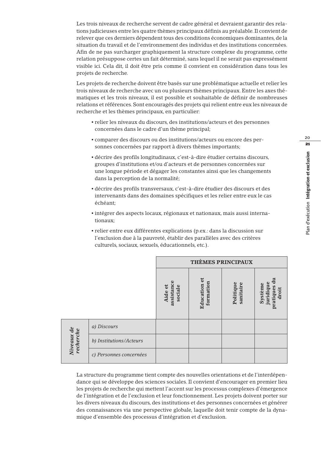Les trois niveaux de recherche servent de cadre général et devraient garantir des relations judicieuses entre les quatre thèmes principaux définis au préalable. Il convient de relever que ces derniers dépendent tous des conditions économiques dominantes, de la situation du travail et de l'environnement des individus et des institutions concernées. Afin de ne pas surcharger graphiquement la structure complexe du programme, cette relation présuppose certes un fait déterminé, sans lequel il ne serait pas expressément visible ici. Cela dit, il doit être pris comme il convient en considération dans tous les projets de recherche.

Les projets de recherche doivent être basés sur une problématique actuelle et relier les trois niveaux de recherche avec un ou plusieurs thèmes principaux. Entre les axes thématiques et les trois niveaux, il est possible et souhaitable de définir de nombreuses relations et références. Sont encouragés des projets qui relient entre eux les niveaux de recherche et les thèmes principaux, en particulier:

- relier les niveaux du discours, des institutions/acteurs et des personnes concernées dans le cadre d'un thème principal;
- comparer des discours ou des institutions/acteurs ou encore des personnes concernées par rapport à divers thèmes importants;
- décrire des profils longitudinaux, c'est-à-dire étudier certains discours, groupes d'institutions et/ou d'acteurs et de personnes concernées sur une longue période et dégager les constantes ainsi que les changements dans la perception de la normalité;
- décrire des profils transversaux, c'est-à-dire étudier des discours et des intervenants dans des domaines spécifiques et les relier entre eux le cas échéant;
- intégrer des aspects locaux, régionaux et nationaux, mais aussi internationaux;
- relier entre eux différentes explications (p.ex.: dans la discussion sur l'exclusion due à la pauvreté, établir des parallèles avec des critères culturels, sociaux, sexuels, éducationnels, etc.).

|                         |                         | <b>THÈMES PRINCIPAUX</b>         |                           |                        |                                                  |
|-------------------------|-------------------------|----------------------------------|---------------------------|------------------------|--------------------------------------------------|
|                         |                         | assistance<br>Aide et<br>sociale | Education et<br>formation | Politique<br>sanitaire | du<br>juridique<br>Système<br>pratiques<br>droit |
| Niveaux de<br>recherche | a) Discours             |                                  |                           |                        |                                                  |
|                         | b) Institutions/Acteurs |                                  |                           |                        |                                                  |
|                         | c) Personnes concernées |                                  |                           |                        |                                                  |

La structure du programme tient compte des nouvelles orientations et de l'interdépendance qui se développe des sciences sociales. Il convient d'encourager en premier lieu les projets de recherche qui mettent l'accent sur les processus complexes d'émergence de l'intégration et de l'exclusion et leur fonctionnement. Les projets doivent porter sur les divers niveaux du discours, des institutions et des personnes concernées et générer des connaissances via une perspective globale, laquelle doit tenir compte de la dynamique d'ensemble des processus d'intégration et d'exclusion.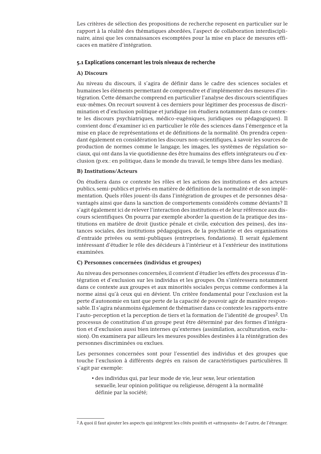Les critères de sélection des propositions de recherche reposent en particulier sur le rapport à la réalité des thématiques abordées, l'aspect de collaboration interdisciplinaire, ainsi que les connaissances escomptées pour la mise en place de mesures efficaces en matière d'intégration.

#### **5.1 Explications concernant les trois niveaux de recherche**

#### **A) Discours**

Au niveau du discours, il s'agira de définir dans le cadre des sciences sociales et humaines les éléments permettant de comprendre et d'implémenter des mesures d'intégration. Cette démarche comprend en particulier l'analyse des discours scientifiques eux-mêmes. On recourt souvent à ces derniers pour légitimer des processus de discrimination et d'exclusion politique et juridique (on étudiera notamment dans ce contexte les discours psychiatriques, médico-eugéniques, juridiques ou pédagogiques). Il convient donc d'examiner ici en particulier le rôle des sciences dans l'émergence et la mise en place de représentations et de définitions de la normalité. On prendra cependant également en considération les discours non-scientifiques, à savoir les sources de production de normes comme le langage, les images, les systèmes de régulation sociaux, qui ont dans la vie quotidienne des être humains des effets intégrateurs ou d'exclusion (p.ex.: en politique, dans le monde du travail, le temps libre dans les medias).

#### **B) Institutions/Acteurs**

On étudiera dans ce contexte les rôles et les actions des institutions et des acteurs publics, semi-publics et privés en matière de définition de la normalité et de son implémentation. Quels rôles jouent-ils dans l'intégration de groupes et de personnes désavantagés ainsi que dans la sanction de comportements considérés comme déviants? Il s'agit également ici de relever l'interaction des institutions et de leur référence aux discours scientifiques. On pourra par exemple aborder la question de la pratique des institutions en matière de droit (justice pénale et civile, exécution des peines), des instances sociales, des institutions pédagogiques, de la psychiatrie et des organisations d'entraide privées ou semi-publiques (entreprises, fondations). Il serait également intéressant d'étudier le rôle des décideurs à l'intérieur et à l'extérieur des institutions examinées.

#### **C) Personnes concernées (individus et groupes)**

Au niveau des personnes concernées, il convient d'étudier les effets des processus d'intégration et d'exclusion sur les individus et les groupes. On s'intéressera notamment dans ce contexte aux groupes et aux minorités sociales perçus comme conformes à la norme ainsi qu'à ceux qui en dévient. Un critère fondamental pour l'exclusion est la perte d'autonomie en tant que perte de la capacité de pouvoir agir de manière responsable. Il s'agira néanmoins également de thématiser dans ce contexte les rapports entre l'auto-perception et la perception de tiers et la formation de l'identité de groupes2. Un processus de constitution d'un groupe peut être déterminé par des formes d'intégration et d'exclusion aussi bien internes qu'externes (assimilation, acculturation, exclusion). On examinera par ailleurs les mesures possibles destinées à la réintégration des personnes discriminées ou exclues.

Les personnes concernées sont pour l'essentiel des individus et des groupes que touche l'exclusion à différents degrés en raison de caractéristiques particulières. Il s'agit par exemple:

▪ des individus qui, par leur mode de vie, leur sexe, leur orientation sexuelle, leur opinion politique ou religieuse, dérogent à la normalité définie par la société;

<sup>2</sup> A quoi il faut ajouter les aspects qui intègrent les côtés positifs et «attrayants» de l'autre, de l'étranger.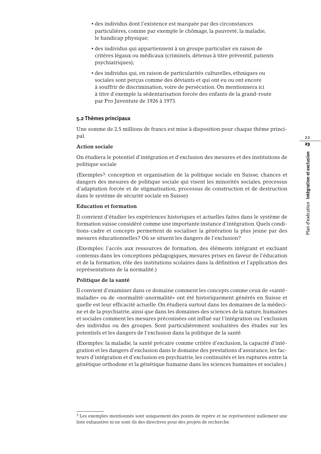- des individus dont l'existence est marquée par des circonstances particulières, comme par exemple le chômage, la pauvreté, la maladie, le handicap physique;
- des individus qui appartiennent à un groupe particulier en raison de critères légaux ou médicaux (criminels, détenus à titre préventif, patients psychiatriques);
- des individus qui, en raison de particularités culturelles, ethniques ou sociales sont perçus comme des déviants et qui ont eu ou ont encore à souffrir de discrimination, voire de persécution. On mentionnera ici à titre d'exemple la sédentarisation forcée des enfants de la grand-route par Pro Juventute de 1926 à 1973.

#### **5.2 Thèmes principaux**

Une somme de 2,5 millions de francs est mise à disposition pour chaque thème principal.

#### **Action sociale**

On étudiera le potentiel d'intégration et d'exclusion des mesures et des institutions de politique sociale

(Exemples3: conception et organisation de la politique sociale en Suisse, chances et dangers des mesures de politique sociale qui visent les minorités sociales, processus d'adaptation forcée et de stigmatisation, processus de construction et de destruction dans le système de sécurité sociale en Suisse)

#### **Education et formation**

Il convient d'étudier les expériences historiques et actuelles faites dans le système de formation suisse considéré comme une importante instance d'intégration. Quels conditions-cadre et concepts permettent de socialiser la génération la plus jeune par des mesures éducationnelles? Où se situent les dangers de l'exclusion?

(Exemples: l'accès aux ressources de formation, des éléments intégrant et excluant contenus dans les conceptions pédagogiques, mesures prises en faveur de l'éducation et de la formation, rôle des institutions scolaires dans la définition et l'application des représentations de la normalité.)

#### **Politique de la santé**

Il convient d'examiner dans ce domaine comment les concepts comme ceux de «santémaladie» ou de «normalité-anormalité» ont été historiquement générés en Suisse et quelle est leur efficacité actuelle. On étudiera surtout dans les domaines de la médecine et de la psychiatrie, ainsi que dans les domaines des sciences de la nature, humaines et sociales comment les mesures préconisées ont influé sur l'intégration ou l'exclusion des individus ou des groupes. Sont particulièrement souhaitées des études sur les potentiels et les dangers de l'exclusion dans la politique de la santé.

(Exemples: la maladie, la santé précaire comme critère d'exclusion, la capacité d'intégration et les dangers d'exclusion dans le domaine des prestations d'assurance, les facteurs d'intégration et d'exclusion en psychiatrie, les continuités et les ruptures entre la génétique orthodoxe et la génétique humaine dans les sciences humaines et sociales.)

<sup>3</sup> Les exemples mentionnés sont uniquement des points de repère et ne représentent nullement une liste exhaustive ni ne sont-ils des directives pour des projets de recherche.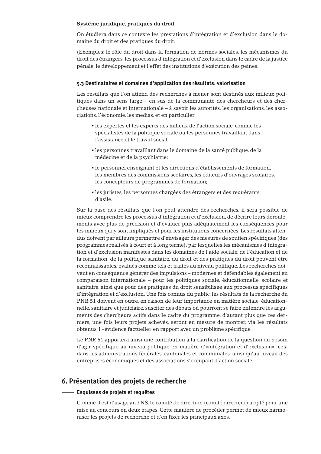#### **Système juridique, pratiques du droit**

On étudiera dans ce contexte les prestations d'intégration et d'exclusion dans le domaine du droit et des pratiques du droit.

(Exemples: le rôle du droit dans la formation de normes sociales, les mécanismes du droit des étrangers, les processus d'intégration et d'exclusion dans le cadre de la justice pénale, le développement et l'effet des institutions d'exécution des peines.

#### **5.3 Destinataires et domaines d'application des résultats: valorisation**

Les résultats que l'on attend des recherches à mener sont destinés aux milieux politiques dans un sens large – en sus de la communauté des chercheurs et des chercheuses nationale et internationale – à savoir les autorités, les organisations, les associations, l'économie, les medias, et en particulier:

- les expertes et les experts des milieux de l'action sociale, comme les spécialistes de la politique sociale ou les personnes travaillant dans l'assistance et le travail social;
- les personnes travaillant dans le domaine de la santé publique, de la médecine et de la psychiatrie;
- le personnel enseignant et les directions d'établissements de formation, les membres des commissions scolaires, les éditeurs d'ouvrages scolaires, les concepteurs de programmes de formation;
- les juristes, les personnes chargées des étrangers et des requérants d'asile.

Sur la base des résultats que l'on peut attendre des recherches, il sera possible de mieux comprendre les processus d'intégration et d'exclusion, de décrire leurs déroulements avec plus de précision et d'évaluer plus adéquatement les conséquences pour les milieux qui y sont impliqués et pour les institutions concernées. Les résultats attendus doivent par ailleurs permettre d'envisager des mesures de soutien spécifiques (des programmes réalisés à court et à long terme), par lesquelles les mécanismes d'intégration et d'exclusion manifestes dans les domaines de l'aide sociale, de l'éducation et de la formation, de la politique sanitaire, du droit et des pratiques du droit peuvent être reconnaissables, évalués comme tels et traités au niveau politique. Les recherches doivent en conséquence générer des impulsions – modernes et défendables également en comparaison internationale – pour les politiques sociale, éducationnelle, scolaire et sanitaire, ainsi que pour des pratiques du droit sensibilisée aux processus spécifiques d'intégration et d'exclusion. Une fois connus du public, les résultats de la recherche du PNR 51 doivent en outre, en raison de leur importance en matière sociale, éducationnelle, sanitaire et judiciaire, susciter des débats où pourront se faire entendre les arguments des chercheurs actifs dans le cadre du programme, d'autant plus que ces derniers, une fois leurs projets achevés, seront en mesure de montrer, via les résultats obtenus, l'«évidence factuelle» en rapport avec un problème spécifique.

Le PNR 51 apportera ainsi une contribution à la clarification de la question du besoin d'agir spécifique au niveau politique en matière d'«intégration et d'exclusion», cela dans les administrations fédérales, cantonales et communales, ainsi qu'au niveau des entreprises économiques et des associations s'occupant d'action sociale.

#### **6. Présentation des projets de recherche**

#### **Esquisses de projets et requêtes**

Comme il est d'usage au FNS, le comité de direction (comité directeur) a opté pour une mise au concours en deux étapes. Cette manière de procéder permet de mieux harmoniser les projets de recherche et d'en fixer les principaux axes.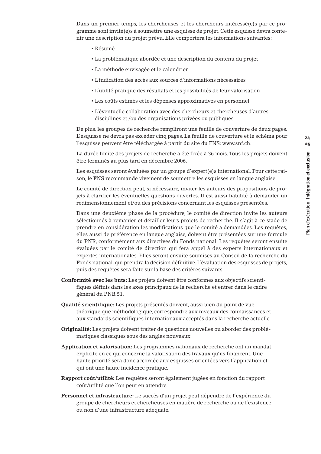Dans un premier temps, les chercheuses et les chercheurs intéressé(e)s par ce programme sont invité(e)s à soumettre une esquisse de projet. Cette esquisse devra contenir une description du projet prévu. Elle comportera les informations suivantes:

- Résumé
- La problématique abordée et une description du contenu du projet
- La méthode envisagée et le calendrier
- L'indication des accès aux sources d'informations nécessaires
- L'utilité pratique des résultats et les possibilités de leur valorisation
- Les coûts estimés et les dépenses approximatives en personnel
- L'éventuelle collaboration avec des chercheurs et chercheuses d'autres disciplines et /ou des organisations privées ou publiques.

De plus, les groupes de recherche rempliront une feuille de couverture de deux pages. L'esquisse ne devra pas excéder cinq pages. La feuille de couverture et le schéma pour l'esquisse peuvent être téléchargée à partir du site du FNS: www.snf.ch.

La durée limite des projets de recherche a été fixée à 36 mois.Tous les projets doivent être terminés au plus tard en décembre 2006.

Les esquisses seront évaluées par un groupe d'expert(e)s international. Pour cette raison, le FNS recommande vivement de soumettre les esquisses en langue anglaise.

Le comité de direction peut, si nécessaire, inviter les auteurs des propositions de projets à clarifier les éventuelles questions ouvertes. Il est aussi habilité à demander un redimensionnement et/ou des précisions concernant les esquisses présentées.

Dans une deuxième phase de la procédure, le comité de direction invite les auteurs sélectionnés à remanier et détailler leurs projets de recherche. Il s'agit à ce stade de prendre en considération les modifications que le comité a demandées. Les requêtes, elles aussi de préfèrence en langue anglaise, doivent être présentées sur une formule du PNR, conformément aux directives du Fonds national. Les requêtes seront ensuite évaluées par le comité de direction qui fera appel à des experts internationaux et expertes internationales. Elles seront ensuite soumises au Conseil de la recherche du Fonds national, qui prendra la décision définitive. L'évaluation des esquisses de projets, puis des requêtes sera faite sur la base des critères suivants:

- **Conformité avec les buts:** Les projets doivent être conformes aux objectifs scientifiques définis dans les axes principaux de la recherche et entrer dans le cadre général du PNR 51.
- **Qualité scientifique:** Les projets présentés doivent, aussi bien du point de vue théorique que méthodologique, correspondre aux niveaux des connaissances et aux standards scientifiques internationaux acceptés dans la recherche actuelle.
- **Originalité:** Les projets doivent traiter de questions nouvelles ou aborder des problématiques classiques sous des angles nouveaux.
- **Application et valorisation:** Les programmes nationaux de recherche ont un mandat explicite en ce qui concerne la valorisation des travaux qu'ils financent. Une haute priorité sera donc accordée aux esquisses orientées vers l'application et qui ont une haute incidence pratique.
- **Rapport coût/utilité:** Les requêtes seront également jugées en fonction du rapport coût/utilité que l'on peut en attendre.
- **Personnel et infrastructure:** Le succès d'un projet peut dépendre de l'expérience du groupe de chercheurs et chercheuses en matière de recherche ou de l'existence ou non d'une infrastructure adéquate.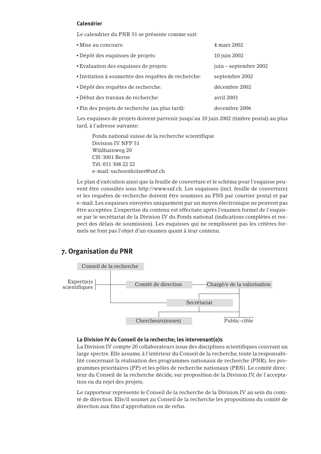#### **Calendrier**

Le calendrier du PNR 51 se présente comme suit:

| • Mise au concours:                                 | 4 mars 2002           |
|-----------------------------------------------------|-----------------------|
| Dépôt des esquisses de projets:                     | 10 juin 2002          |
| <b>Evaluation des esquisses de projets:</b>         | juin – septembre 2002 |
| · Invitation à soumettre des requêtes de recherche: | septembre 2002        |
| • Dépôt des requêtes de recherche:                  | décembre 2002         |
| • Début des travaux de recherche:                   | avril 2003            |
| . Fin des projets de recherche (au plus tard):      | decembre 2006         |

Les esquisses de projets doivent parvenir jusqu'au 10 juin 2002 (timbre postal) au plus tard, à l'adresse suivante:

Fonds national suisse de la recherche scientifique Division IV NFP 51 Wildhainweg 20 CH-3001 Berne Tél. 031 308 22 22 e-mail: sschoenholzer@snf.ch

Le plan d'exécution ainsi que la feuille de couverture et le schéma pour l'esquisse peuvent être consultés sous http://www.snf.ch. Les esquisses (incl. feuille de couverture) et les requêtes de recherche doivent être soumises au FNS par courrier postal et par e-mail. Les esquisses envoyées uniquement par un moyen électronique ne peuvent pas être acceptées. L'expertise du contenu est effectuée après l'examen formel de l'esquisse par le secrétariat de la Division IV du Fonds national (indications complètes et respect des délais de soumission). Les esquisses qui ne remplissent pas les critères formels ne font pas l'objet d'un examen quant à leur contenu.

#### **7. Organisation du PNR**



#### **La Division IV du Conseil de la recherche; les intervenant(e)s**

La Division IV compte 20 collaborateurs issus des disciplines scientifiques couvrant un large spectre. Elle assume, à l'intérieur du Conseil de la recherche, toute la responsabilité concernant la réalisation des programmes nationaux de recherche (PNR), les programmes prioritaires (PP) et les pôles de recherche nationaux (PRN). Le comité directeur du Conseil de la recherche décide, sur proposition de la Division IV, de l'acceptation ou du rejet des projets.

Le rapporteur représente le Conseil de la recherche de la Division IV au sein du comité de direction. Elle/il soumet au Conseil de la recherche les propositions du comité de direction aux fins d'approbation ou de refus.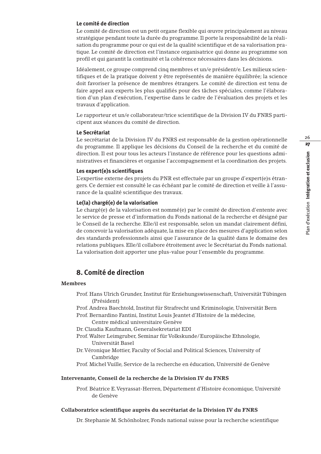#### **Le comité de direction**

Le comité de direction est un petit organe flexible qui œuvre principalement au niveau stratégique pendant toute la durée du programme. Il porte la responsabilité de la réalisation du programme pour ce qui est de la qualité scientifique et de sa valorisation pratique. Le comité de direction est l'instance organisatrice qui donne au programme son profil et qui garantit la continuité et la cohérence nécessaires dans les décisions.

Idéalement, ce groupe comprend cinq membres et un/e président/e. Les milieux scientifiques et de la pratique doivent y être représentés de manière équilibrée; la science doit favoriser la présence de membres étrangers. Le comité de direction est tenu de faire appel aux experts les plus qualifiés pour des tâches spéciales, comme l'élaboration d'un plan d'exécution, l'expertise dans le cadre de l'évaluation des projets et les travaux d'application.

Le rapporteur et un/e collaborateur/trice scientifique de la Division IV du FNRS participent aux séances du comité de direction.

#### **Le Secrétariat**

Le secrétariat de la Division IV du FNRS est responsable de la gestion opérationnelle du programme. Il applique les décisions du Conseil de la recherche et du comité de direction. Il est pour tous les acteurs l'instance de référence pour les questions administratives et financières et organise l'accompagnement et la coordination des projets.

#### **Les expert(e)s scientifiques**

L'expertise externe des projets du PNR est effectuée par un groupe d'expert(e)s étrangers. Ce dernier est consulté le cas échéant par le comité de direction et veille à l'assurance de la qualité scientifique des travaux.

#### **Le(la) chargé(e) de la valorisation**

Le chargé(e) de la valorisation est nommé(e) par le comité de direction d'entente avec le service de presse et d'information du Fonds national de la recherche et désigné par le Conseil de la recherche. Elle/il est responsable, selon un mandat clairement défini, de concevoir la valorisation adéquate, la mise en place des mesures d'application selon des standards professionnels ainsi que l'assurance de la qualité dans le domaine des relations publiques. Elle/il collabore étroitement avec le Secrétariat du Fonds national. La valorisation doit apporter une plus-value pour l'ensemble du programme.

#### **8. Comité de direction**

#### **Membres**

Prof. Hans Ulrich Grunder, Institut für Erziehungswissenschaft, Universität Tübingen (Président)

Prof. Andrea Baechtold, Institut für Strafrecht und Kriminologie, Universität Bern Prof. Bernardino Fantini, Institut Louis Jeantet d'Histoire de la médecine,

Centre médical universitaire Genève

Dr. Claudia Kaufmann, Generalsekretariat EDI

- Prof.Walter Leimgruber, Seminar für Volkskunde/Europäische Ethnologie, Universität Basel
- Dr.Véronique Mottier, Faculty of Social and Political Sciences, University of Cambridge
- Prof. Michel Vuille, Service de la recherche en éducation, Université de Genève

#### **Intervenante, Conseil de la recherche de la Division IV du FNRS**

Prof. Béatrice E.Veyrassat-Herren, Département d'Histoire économique, Université de Genève

#### **Collaboratrice scientifique auprès du secrétariat de la Division IV du FNRS**

Dr. Stephanie M. Schönholzer, Fonds national suisse pour la recherche scientifique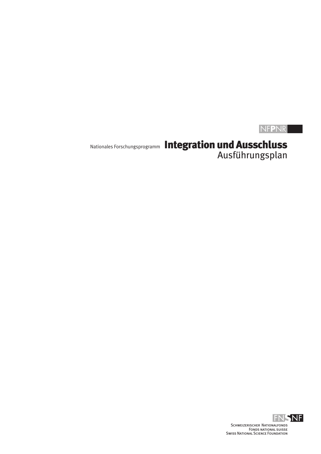## NF**P**NR

# Nationales Forschungsprogramm Integration und Ausschluss Ausführungsplan

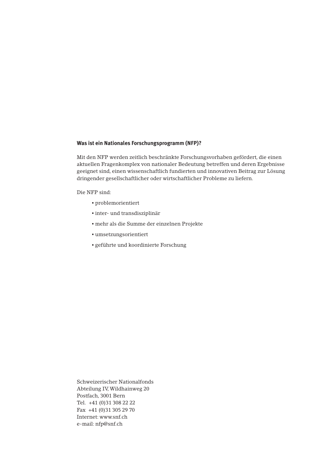#### **Was ist ein Nationales Forschungsprogramm (NFP)?**

Mit den NFP werden zeitlich beschränkte Forschungsvorhaben gefördert, die einen aktuellen Fragenkomplex von nationaler Bedeutung betreffen und deren Ergebnisse geeignet sind, einen wissenschaftlich fundierten und innovativen Beitrag zur Lösung dringender gesellschaftlicher oder wirtschaftlicher Probleme zu liefern.

Die NFP sind:

- problemorientiert
- inter- und transdisziplinär
- mehr als die Summe der einzelnen Projekte
- umsetzungsorientiert
- geführte und koordinierte Forschung

Schweizerischer Nationalfonds Abteilung IV,Wildhainweg 20 Postfach, 3001 Bern Tel. +41 (0)31 308 22 22 Fax +41 (0)31 305 29 70 Internet: www.snf.ch e-mail: nfp@snf.ch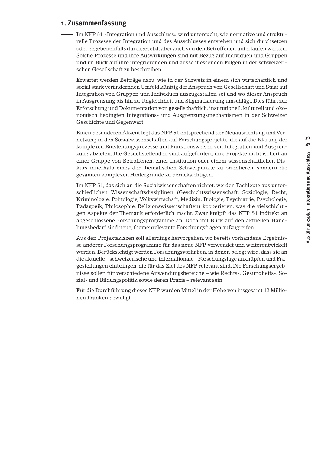# 30 31Ausführungsplan Integration und Ausschluss Ausführungsplan **Integration und Ausschluss**

#### **1. Zusammenfassung**

Im NFP 51 «Integration und Ausschluss» wird untersucht, wie normative und strukturelle Prozesse der Integration und des Ausschlusses entstehen und sich durchsetzen oder gegebenenfalls durchgesetzt, aber auch von den Betroffenen unterlaufen werden. Solche Prozesse und ihre Auswirkungen sind mit Bezug auf Individuen und Gruppen und im Blick auf ihre integrierenden und ausschliessenden Folgen in der schweizerischen Gesellschaft zu beschreiben.

Erwartet werden Beiträge dazu, wie in der Schweiz in einem sich wirtschaftlich und sozial stark verändernden Umfeld künftig der Anspruch von Gesellschaft und Staat auf Integration von Gruppen und Individuen auszugestalten sei und wo dieser Anspruch in Ausgrenzung bis hin zu Ungleichheit und Stigmatisierung umschlägt. Dies führt zur Erforschung und Dokumentation von gesellschaftlich, institutionell, kulturell und ökonomisch bedingten Integrations- und Ausgrenzungsmechanismen in der Schweizer Geschichte und Gegenwart.

Einen besonderen Akzent legt das NFP 51 entsprechend der Neuausrichtung und Vernetzung in den Sozialwissenschaften auf Forschungsprojekte, die auf die Klärung der komplexen Entstehungsprozesse und Funktionsweisen von Integration und Ausgrenzung abzielen. Die Gesuchstellenden sind aufgefordert, ihre Projekte nicht isoliert an einer Gruppe von Betroffenen, einer Institution oder einem wissenschaftlichen Diskurs innerhalb eines der thematischen Schwerpunkte zu orientieren, sondern die gesamten komplexen Hintergründe zu berücksichtigen.

Im NFP 51, das sich an die Sozialwissenschaften richtet, werden Fachleute aus unterschiedlichen Wissenschaftsdisziplinen (Geschichtswissenschaft, Soziologie, Recht, Kriminologie, Politologie, Volkswirtschaft, Medizin, Biologie, Psychiatrie, Psychologie, Pädagogik, Philosophie, Religionswissenschaften) kooperieren, was die vielschichtigen Aspekte der Thematik erforderlich macht. Zwar knüpft das NFP 51 indirekt an abgeschlossene Forschungsprogramme an. Doch mit Blick auf den aktuellen Handlungsbedarf sind neue, themenrelevante Forschungsfragen aufzugreifen.

Aus den Projektskizzen soll allerdings hervorgehen, wo bereits vorhandene Ergebnisse anderer Forschungsprogramme für das neue NFP verwendet und weiterentwickelt werden. Berücksichtigt werden Forschungsvorhaben, in denen belegt wird, dass sie an die aktuelle – schweizerische und internationale – Forschungslage anknüpfen und Fragestellungen einbringen, die für das Ziel des NFP relevant sind. Die Forschungsergebnisse sollen für verschiedene Anwendungsbereiche – wie Rechts-, Gesundheits-, Sozial- und Bildungspolitik sowie deren Praxis – relevant sein.

Für die Durchführung dieses NFP wurden Mittel in der Höhe von insgesamt 12 Millionen Franken bewilligt.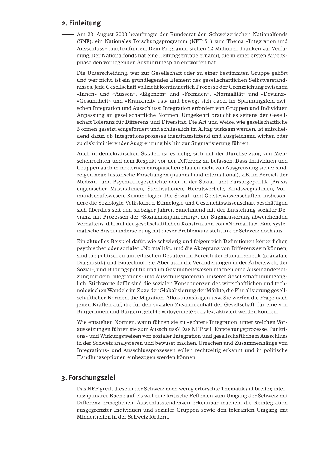#### **2. Einleitung**

Am 23. August 2000 beauftragte der Bundesrat den Schweizerischen Nationalfonds (SNF), ein Nationales Forschungsprogramm (NFP 51) zum Thema «Integration und Ausschluss» durchzuführen. Dem Programm stehen 12 Millionen Franken zur Verfügung. Der Nationalfonds hat eine Leitungsgruppe ernannt, die in einer ersten Arbeitsphase den vorliegenden Ausführungsplan entworfen hat.

Die Unterscheidung, wer zur Gesellschaft oder zu einer bestimmten Gruppe gehört und wer nicht, ist ein grundlegendes Element des gesellschaftlichen Selbstverständnisses. Jede Gesellschaft vollzieht kontinuierlich Prozesse der Grenzziehung zwischen «Innen» und «Aussen», «Eigenem» und «Fremden», «Normalität» und «Devianz», «Gesundheit» und «Krankheit» usw. und bewegt sich dabei im Spannungsfeld zwischen Integration und Ausschluss: Integration erfordert von Gruppen und Individuen Anpassung an gesellschaftliche Normen. Umgekehrt braucht es seitens der Gesellschaft Toleranz für Differenz und Diversität. Die Art und Weise, wie gesellschaftliche Normen gesetzt, eingefordert und schliesslich im Alltag wirksam werden, ist entscheidend dafür, ob Integrationsprozesse identitätsstiftend und ausgleichend wirken oder zu diskriminierender Ausgrenzung bis hin zur Stigmatisierung führen.

Auch in demokratischen Staaten ist es nötig, sich mit der Durchsetzung von Menschenrechten und dem Respekt vor der Differenz zu befassen. Dass Individuen und Gruppen auch in modernen europäischen Staaten nicht von Ausgrenzung sicher sind, zeigen neue historische Forschungen (national und international), z.B. im Bereich der Medizin- und Psychiatriegeschichte oder in der Sozial- und Fürsorgepolitik (Praxis eugenischer Massnahmen, Sterilisationen, Heiratsverbote, Kindswegnahmen, Vormundschaftswesen, Kriminologie). Die Sozial- und Geisteswissenschaften, insbesondere die Soziologie,Volkskunde, Ethnologie und Geschichtswissenschaft beschäftigen sich überdies seit den siebziger Jahren zunehmend mit der Entstehung sozialer Devianz, mit Prozessen der «Sozialdisziplinierung», der Stigmatisierung abweichenden Verhaltens, d.h. mit der gesellschaftlichen Konstruktion von «Normalität». Eine systematische Auseinandersetzung mit dieser Problematik steht in der Schweiz noch aus.

Ein aktuelles Beispiel dafür, wie schwierig und folgenreich Definitionen körperlicher, psychischer oder sozialer «Normalität» und die Akzeptanz von Differenz sein können, sind die politischen und ethischen Debatten im Bereich der Humangenetik (pränatale Diagnostik) und Biotechnologie. Aber auch die Veränderungen in der Arbeitswelt, der Sozial-, und Bildungspolitik und im Gesundheitswesen machen eine Auseinandersetzung mit dem Integrations- und Ausschlusspotenzial unserer Gesellschaft unumgänglich. Stichworte dafür sind die sozialen Konsequenzen des wirtschaftlichen und technologischen Wandels im Zuge der Globalisierung der Märkte, die Pluralisierung gesellschaftlicher Normen, die Migration, Allokationsfragen usw. Sie werfen die Frage nach jenen Kräften auf, die für den sozialen Zusammenhalt der Gesellschaft, für eine von Bürgerinnen und Bürgern gelebte «citoyenneté sociale», aktiviert werden können.

Wie entstehen Normen, wann führen sie zu «echter» Integration, unter welchen Voraussetzungen führen sie zum Ausschluss? Das NFP will Entstehungsprozesse, Funktions- und Wirkungsweisen von sozialer Integration und gesellschaftlichem Ausschluss in der Schweiz analysieren und bewusst machen. Ursachen und Zusammenhänge von Integrations- und Ausschlussprozessen sollen rechtzeitig erkannt und in politische Handlungsoptionen einbezogen werden können.

#### **3. Forschungsziel**

Das NFP greift diese in der Schweiz noch wenig erforschte Thematik auf breiter, interdisziplinärer Ebene auf. Es will eine kritische Reflexion zum Umgang der Schweiz mit Differenz ermöglichen, Ausschlusstendenzen erkennbar machen, die Reintegration ausgegrenzter Individuen und sozialer Gruppen sowie den toleranten Umgang mit Minderheiten in der Schweiz fördern.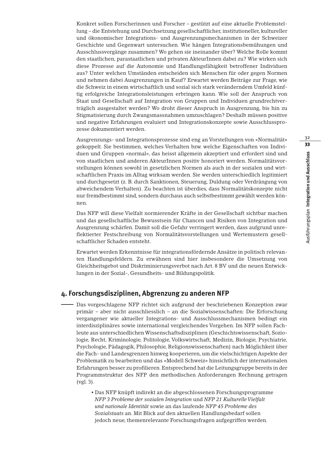Konkret sollen Forscherinnen und Forscher – gestützt auf eine aktuelle Problemstellung – die Entstehung und Durchsetzung gesellschaftlicher, institutioneller, kultureller und ökonomischer Integrations- und Ausgrenzungsmechanismen in der Schweizer Geschichte und Gegenwart untersuchen. Wie hängen Integrationsbemühungen und Ausschlussvorgänge zusammen? Wo gehen sie ineinander über? Welche Rolle kommt den staatlichen, parastaatlichen und privaten AkteurInnen dabei zu? Wie wirken sich diese Prozesse auf die Autonomie und Handlungsfähigkeit betroffener Individuen aus? Unter welchen Umständen entscheiden sich Menschen für oder gegen Normen und nehmen dabei Ausgrenzungen in Kauf? Erwartet werden Beiträge zur Frage, wie die Schweiz in einem wirtschaftlich und sozial sich stark veränderndem Umfeld künftig erfolgreiche Integrationsleistungen erbringen kann. Wie soll der Anspruch von Staat und Gesellschaft auf Integration von Gruppen und Individuen grundrechtverträglich ausgestaltet werden? Wo droht dieser Anspruch in Ausgrenzung, bis hin zu Stigmatisierung durch Zwangsmassnahmen umzuschlagen? Deshalb müssen positive und negative Erfahrungen evaluiert und Integrationskonzepte sowie Ausschlussprozesse dokumentiert werden.

Ausgrenzungs- und Integrationsprozesse sind eng an Vorstellungen von «Normalität» gekoppelt. Sie bestimmen, welches Verhalten bzw. welche Eigenschaften von Individuen und Gruppen «normal», das heisst allgemein akzeptiert und erfordert sind und von staatlichen und anderen AkteurInnen positiv honoriert werden. Normalitätsvorstellungen können sowohl in gesetzlichen Normen als auch in der sozialen und wirtschaftlichen Praxis im Alltag wirksam werden. Sie werden unterschiedlich legitimiert und durchgesetzt (z. B. durch Sanktionen, Steuerung, Duldung oder Verdrängung von abweichendem Verhalten). Zu beachten ist überdies, dass Normalitätskonzepte nicht nur fremdbestimmt sind, sondern durchaus auch selbstbestimmt gewählt werden können.

Das NFP will diese Vielfalt normierender Kräfte in der Gesellschaft sichtbar machen und das gesellschaftliche Bewusstsein für Chancen und Risiken von Integration und Ausgrenzung schärfen. Damit soll die Gefahr verringert werden, dass aufgrund unreflektierter Festschreibung von Normalitätsvorstellungen und Wertemustern gesellschaftlicher Schaden entsteht.

Erwartet werden Erkenntnisse für integrationsfördernde Ansätze in politisch relevanten Handlungsfeldern. Zu erwähnen sind hier insbesondere die Umsetzung von Gleichheitsgebot und Diskriminierungsverbot nach Art. 8 BV und die neuen Entwicklungen in der Sozial-, Gesundheits- und Bildungspolitik.

#### **4. Forschungsdisziplinen, Abgrenzung zu anderen NFP**

Das vorgeschlagene NFP richtet sich aufgrund der beschriebenen Konzeption zwar primär – aber nicht ausschliesslich – an die Sozialwissenschaften: Die Erforschung vergangener wie aktueller Integrations- und Ausschlussmechanismen bedingt ein interdisziplinäres sowie international vergleichendes Vorgehen. Im NFP sollen Fachleute aus unterschiedlichen Wissenschaftsdisziplinen (Geschichtswissenschaft, Soziologie, Recht, Kriminologie, Politologie, Volkswirtschaft, Medizin, Biologie, Psychiatrie, Psychologie, Pädagogik, Philosophie, Religionswissenschaften) nach Möglichkeit über die Fach- und Landesgrenzen hinweg kooperieren, um die vielschichtigen Aspekte der Problematik zu bearbeiten und das «Modell Schweiz» hinsichtlich der internationalen Erfahrungen besser zu profilieren. Entsprechend hat die Leitungsgruppe bereits in der Programmstruktur des NFP den methodischen Anforderungen Rechnung getragen (vgl. 3).

> ▪ Das NFP knüpft indirekt an die abgeschlossenen Forschungsprogramme *NFP 3 Probleme der sozialen Integration* und *NFP 21 Kulturelle Vielfalt und nationale Identität* sowie an das laufende *NFP 45 Probleme des Sozialstaats* an. Mit Blick auf den aktuellen Handlungsbedarf sollen jedoch neue, themenrelevante Forschungsfragen aufgegriffen werden.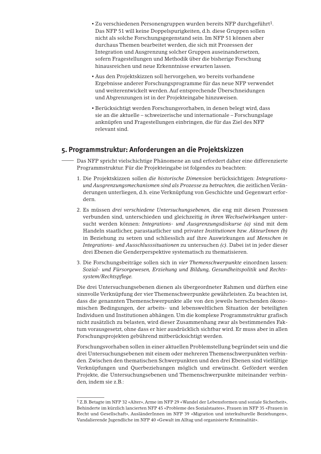- Zu verschiedenen Personengruppen wurden bereits NFP durchgeführt1. Das NFP 51 will keine Doppelspurigkeiten, d.h. diese Gruppen sollen nicht als solche Forschungsgegenstand sein. Im NFP 51 können aber durchaus Themen bearbeitet werden, die sich mit Prozessen der Integration und Ausgrenzung solcher Gruppen auseinandersetzen, sofern Fragestellungen und Methodik über die bisherige Forschung hinausreichen und neue Erkenntnisse erwarten lassen.
- Aus den Projektskizzen soll hervorgehen, wo bereits vorhandene Ergebnisse anderer Forschungsprogramme für das neue NFP verwendet und weiterentwickelt werden. Auf entsprechende Überschneidungen und Abgrenzungen ist in der Projekteingabe hinzuweisen.
- Berücksichtigt werden Forschungsvorhaben, in denen belegt wird, dass sie an die aktuelle – schweizerische und internationale – Forschungslage anknüpfen und Fragestellungen einbringen, die für das Ziel des NFP relevant sind.

#### **5. Programmstruktur: Anforderungen an die Projektskizzen**

- Das NFP spricht vielschichtige Phänomene an und erfordert daher eine differenzierte Programmstruktur. Für die Projekteingabe ist folgendes zu beachten:
	- 1. Die Projektskizzen sollen *die historische Dimension* berücksichtigen: *Integrationsund Ausgrenzungsmechanismen sind als Prozesse zu betrachten,* die zeitlichen Veränderungen unterliegen, d.h. eine Verknüpfung von Geschichte und Gegenwart erfordern.
	- 2. Es müssen *drei verschiedene Untersuchungsebenen,* die eng mit diesen Prozessen verbunden sind, unterschieden und gleichzeitig *in ihren Wechselwirkungen* untersucht werden können: *Integrations- und Ausgrenzungsdiskurse (a)* sind mit dem Handeln staatlicher, parastaatlicher und privater *Institutionen bzw. AkteurInnen (b)* in Beziehung zu setzen und schliesslich auf ihre Auswirkungen auf *Menschen in Integrations- und Ausschlusssituationen* zu untersuchen *(c).* Dabei ist in jeder dieser drei Ebenen die Genderperspektive systematisch zu thematisieren.
	- 3. Die Forschungsbeiträge sollen sich in *vier Themenschwerpunkte* einordnen lassen: *Sozial- und Fürsorgewesen, Erziehung und Bildung, Gesundheitspolitik und Rechtssystem/Rechtspflege.*

Die drei Untersuchungsebenen dienen als übergeordneter Rahmen und dürften eine sinnvolle Verknüpfung der vier Themenschwerpunkte gewährleisten. Zu beachten ist, dass die genannten Themenschwerpunkte alle von den jeweils herrschenden ökonomischen Bedingungen, der arbeits- und lebensweltlichen Situation der beteiligten Individuen und Institutionen abhängen. Um die komplexe Programmstruktur grafisch nicht zusätzlich zu belasten, wird dieser Zusammenhang zwar als bestimmendes Faktum vorausgesetzt, ohne dass er hier ausdrücklich sichtbar wird. Er muss aber in allen Forschungsprojekten gebührend mitberücksichtigt werden.

Forschungsvorhaben sollen in einer aktuellen Problemstellung begründet sein und die drei Untersuchungsebenen mit einem oder mehreren Themenschwerpunkten verbinden. Zwischen den thematischen Schwerpunkten und den drei Ebenen sind vielfältige Verknüpfungen und Querbeziehungen möglich und erwünscht. Gefördert werden Projekte, die Untersuchungsebenen und Themenschwerpunkte miteinander verbinden, indem sie z.B.:

<sup>1</sup> Z.B. Betagte im NFP 32 «Alter»,Arme im NFP 29 «Wandel der Lebensformen und soziale Sicherheit», Behinderte im kürzlich lancierten NFP 45 «Probleme des Sozialstaates», Frauen im NFP 35 «Frauen in Recht und Gesellschaft», AusländerInnen im NFP 39 «Migration und interkulturelle Beziehungen», Vandalierende Jugendliche im NFP 40 «Gewalt im Alltag und organisierte Kriminalität».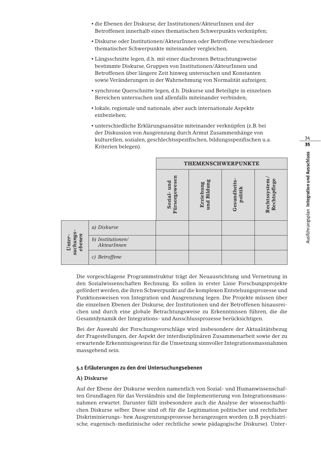- die Ebenen der Diskurse, der Institutionen/AkteurInnen und der Betroffenen innerhalb eines thematischen Schwerpunkts verknüpfen;
- Diskurse oder Institutionen/AkteurInnen oder Betroffene verschiedener thematischer Schwerpunkte miteinander vergleichen;
- Längsschnitte legen, d.h. mit einer diachronen Betrachtungsweise bestimmte Diskurse, Gruppen von Institutionen/AkteurInnen und Betroffenen über längere Zeit hinweg untersuchen und Konstanten sowie Veränderungen in der Wahrnehmung von Normalität aufzeigen;
- synchrone Querschnitte legen, d.h. Diskurse und Beteiligte in einzelnen Bereichen untersuchen und allenfalls miteinander verbinden;
- lokale, regionale und nationale, aber auch internationale Aspekte einbeziehen;
- unterschiedliche Erklärungsansätze miteinander verknüpfen (z.B. bei der Diskussion von Ausgrenzung durch Armut Zusammenhänge von kulturellen, sozialen, geschlechtsspezifischen, bildungsspezifischen u.a. Kriterien belegen).

|                              |                                  | <b>THEMENSCHWERPUNKTE</b>       |                          |                        |                               |
|------------------------------|----------------------------------|---------------------------------|--------------------------|------------------------|-------------------------------|
|                              |                                  | Fürsorgewesen<br>und<br>Sozial- | und Bildung<br>Erziehung | Gesundheits<br>politik | Rechtssystem/<br>Rechtspflege |
| suchungs<br>ebenen<br>Unter- | a) Diskurse                      |                                 |                          |                        |                               |
|                              | b) Institutionen/<br>AkteurInnen |                                 |                          |                        |                               |
|                              | c) Betroffene                    |                                 |                          |                        |                               |

Die vorgeschlagene Programmstruktur trägt der Neuausrichtung und Vernetzung in den Sozialwissenschaften Rechnung. Es sollen in erster Linie Forschungsprojekte gefördert werden, die ihren Schwerpunkt auf die komplexen Entstehungsprozesse und Funktionsweisen von Integration und Ausgrenzung legen. Die Projekte müssen über die einzelnen Ebenen der Diskurse, der Institutionen und der Betroffenen hinausreichen und durch eine globale Betrachtungsweise zu Erkenntnissen führen, die die Gesamtdynamik der Integrations- und Ausschlussprozesse berücksichtigen.

Bei der Auswahl der Forschungsvorschläge wird insbesondere der Aktualitätsbezug der Fragestellungen, der Aspekt der interdisziplinären Zusammenarbeit sowie der zu erwartende Erkenntnisgewinn für die Umsetzung sinnvoller Integrationsmassnahmen massgebend sein.

#### **5.1 Erläuterungen zu den drei Untersuchungsebenen**

#### **A) Diskurse**

Auf der Ebene der Diskurse werden namentlich von Sozial- und Humanwissenschaften Grundlagen für das Verständnis und die Implementierung von Integrationsmassnahmen erwartet. Darunter fällt insbesondere auch die Analyse der wissenschaftlichen Diskurse selber. Diese sind oft für die Legitimation politischer und rechtlicher Diskriminierungs- bzw.Ausgrenzungsprozesse herangezogen worden (z.B. psychiatrische, eugenisch-medizinische oder rechtliche sowie pädagogische Diskurse). Unter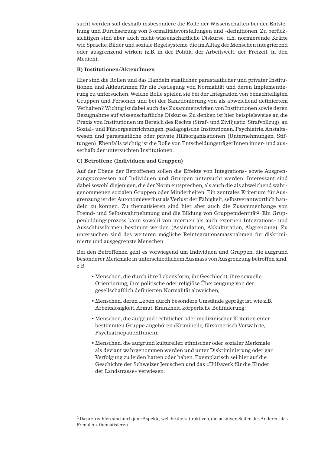sucht werden soll deshalb insbesondere die Rolle der Wissenschaften bei der Entstehung und Durchsetzung von Normalitätsvorstellungen und -definitionen. Zu berücksichtigen sind aber auch nicht-wissenschaftliche Diskurse, d.h. normierende Kräfte wie Sprache, Bilder und soziale Regelsysteme, die im Alltag der Menschen integrierend oder ausgrenzend wirken (z.B. in der Politik, der Arbeitswelt, der Freizeit, in den Medien).

#### **B) Institutionen/AkteurInnen**

Hier sind die Rollen und das Handeln staatlicher, parastaatlicher und privater Institutionen und AkteurInnen für die Festlegung von Normalität und deren Implementierung zu untersuchen.Welche Rolle spielen sie bei der Integration von benachteiligten Gruppen und Personen und bei der Sanktionierung von als abweichend definiertem Verhalten? Wichtig ist dabei auch das Zusammenwirken von Institutionen sowie deren Bezugnahme auf wissenschaftliche Diskurse. Zu denken ist hier beispielsweise an die Praxis von Institutionen im Bereich des Rechts (Straf- und Ziviljustiz, Strafvollzug), an Sozial- und Fürsorgeeinrichtungen, pädagogische Institutionen, Psychiatrie, Anstaltswesen und parastaatliche oder private Hilfsorganisationen (Unternehmungen, Stiftungen). Ebenfalls wichtig ist die Rolle von EntscheidungsträgerInnen inner- und ausserhalb der untersuchten Institutionen.

#### **C) Betroffene (Individuen und Gruppen)**

Auf der Ebene der Betroffenen sollen die Effekte von Integrations- sowie Ausgrenzungsprozessen auf Individuen und Gruppen untersucht werden. Interessant sind dabei sowohl diejenigen, die der Norm entsprechen, als auch die als abweichend wahrgenommenen sozialen Gruppen oder Minderheiten. Ein zentrales Kriterium für Ausgrenzung ist der Autonomieverlust als Verlust der Fähigkeit, selbstverantwortlich handeln zu können. Zu thematisieren sind hier aber auch die Zusammenhänge von Fremd- und Selbstwahrnehmung und die Bildung von Gruppenidentität<sup>2</sup>. Ein Gruppenbildungsprozess kann sowohl von internen als auch externen Integrations- und Ausschlussformen bestimmt werden (Assimilation, Akkulturation, Abgrenzung). Zu untersuchen sind des weiteren mögliche Reintegrationsmassnahmen für diskriminierte und ausgegrenzte Menschen.

Bei den Betroffenen geht es vorwiegend um Individuen und Gruppen, die aufgrund besonderer Merkmale in unterschiedlichem Ausmass von Ausgrenzung betroffen sind, z.B.

- Menschen, die durch ihre Lebensform, ihr Geschlecht, ihre sexuelle Orientierung, ihre politische oder religiöse Überzeugung von der gesellschaftlich definierten Normalität abweichen;
- Menschen, deren Leben durch besondere Umstände geprägt ist, wie z.B. Arbeitslosigkeit, Armut, Krankheit, körperliche Behinderung;
- Menschen, die aufgrund rechtlicher oder medizinischer Kriterien einer bestimmten Gruppe angehören (Kriminelle, fürsorgerisch Verwahrte, PsychiatriepatientInnen);
- Menschen, die aufgrund kultureller, ethnischer oder sozialer Merkmale als deviant wahrgenommen werden und unter Diskriminierung oder gar Verfolgung zu leiden hatten oder haben. Exemplarisch sei hier auf die Geschichte der Schweizer Jenischen und das «Hilfswerk für die Kinder der Landstrasse» verwiesen.

<sup>2</sup> Dazu zu zählen sind auch jene Aspekte, welche die «attraktiven, die positiven Seiten des Anderen, des Fremden» thematisieren.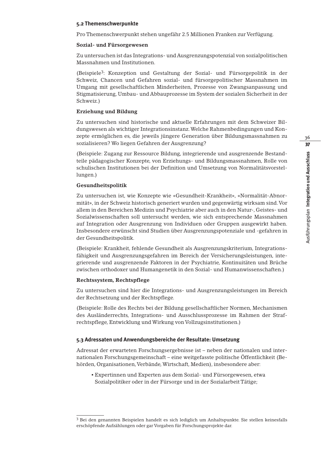#### **5.2 Themenschwerpunkte**

Pro Themenschwerpunkt stehen ungefähr 2.5 Millionen Franken zur Verfügung.

#### **Sozial- und Fürsorgewesen**

Zu untersuchen ist das Integrations- und Ausgrenzungspotenzial von sozialpolitischen Massnahmen und Institutionen.

(Beispiele3: Konzeption und Gestaltung der Sozial- und Fürsorgepolitik in der Schweiz, Chancen und Gefahren sozial- und fürsorgepolitischer Massnahmen im Umgang mit gesellschaftlichen Minderheiten, Prozesse von Zwangsanpassung und Stigmatisierung, Umbau- und Abbauprozesse im System der sozialen Sicherheit in der Schweiz.)

#### **Erziehung und Bildung**

Zu untersuchen sind historische und aktuelle Erfahrungen mit dem Schweizer Bildungswesen als wichtiger Integrationsinstanz.Welche Rahmenbedingungen und Konzepte ermöglichen es, die jeweils jüngere Generation über Bildungsmassnahmen zu sozialisieren? Wo liegen Gefahren der Ausgrenzung?

(Beispiele: Zugang zur Ressource Bildung, integrierende und ausgrenzende Bestandteile pädagogischer Konzepte, von Erziehungs- und Bildungsmassnahmen, Rolle von schulischen Institutionen bei der Definition und Umsetzung von Normalitätsvorstellungen.)

#### **Gesundheitspolitik**

Zu untersuchen ist, wie Konzepte wie «Gesundheit-Krankheit», «Normalität-Abnormität», in der Schweiz historisch generiert wurden und gegenwärtig wirksam sind.Vor allem in den Bereichen Medizin und Psychiatrie aber auch in den Natur-, Geistes- und Sozialwissenschaften soll untersucht werden, wie sich entsprechende Massnahmen auf Integration oder Ausgrenzung von Individuen oder Gruppen ausgewirkt haben. Insbesondere erwünscht sind Studien über Ausgrenzungspotenziale und -gefahren in der Gesundheitspolitik.

(Beispiele: Krankheit, fehlende Gesundheit als Ausgrenzungskriterium, Integrationsfähigkeit und Ausgrenzungsgefahren im Bereich der Versicherungsleistungen, integrierende und ausgrenzende Faktoren in der Psychiatrie, Kontinuitäten und Brüche zwischen orthodoxer und Humangenetik in den Sozial- und Humanwissenschaften.)

#### **Rechtssystem, Rechtspflege**

Zu untersuchen sind hier die Integrations- und Ausgrenzungsleistungen im Bereich der Rechtsetzung und der Rechtspflege.

(Beispiele: Rolle des Rechts bei der Bildung gesellschaftlicher Normen, Mechanismen des Ausländerrechts, Integrations- und Ausschlussprozesse im Rahmen der Strafrechtspflege, Entwicklung und Wirkung von Vollzugsinstitutionen.)

#### **5.3 Adressaten und Anwendungsbereiche der Resultate: Umsetzung**

Adressat der erwarteten Forschungsergebnisse ist – neben der nationalen und internationalen Forschungsgemeinschaft – eine weitgefasste politische Öffentlichkeit (Behörden, Organisationen,Verbände,Wirtschaft, Medien), insbesondere aber:

▪ Expertinnen und Experten aus dem Sozial- und Fürsorgewesen, etwa Sozialpolitiker oder in der Fürsorge und in der Sozialarbeit Tätige;

<sup>3</sup> Bei den genannten Beispielen handelt es sich lediglich um Anhaltspunkte. Sie stellen keinesfalls erschöpfende Aufzählungen oder gar Vorgaben für Forschungsprojekte dar.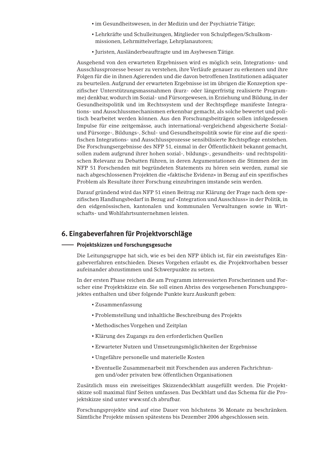- im Gesundheitswesen, in der Medizin und der Psychiatrie Tätige;
- Lehrkräfte und Schulleitungen, Mitglieder von Schulpflegen/Schulkommissionen, Lehrmittelverlage, Lehrplanautoren;
- Juristen, Ausländerbeauftragte und im Asylwesen Tätige.

Ausgehend von den erwarteten Ergebnissen wird es möglich sein, Integrations- und Ausschlussprozesse besser zu verstehen, ihre Verläufe genauer zu erkennen und ihre Folgen für die in ihnen Agierenden und die davon betroffenen Institutionen adäquater zu beurteilen. Aufgrund der erwarteten Ergebnisse ist im übrigen die Konzeption spezifischer Unterstützungsmassnahmen (kurz- oder längerfristig realisierte Programme) denkbar, wodurch im Sozial- und Fürsorgewesen, in Erziehung und Bildung, in der Gesundheitspolitik und im Rechtssystem und der Rechtspflege manifeste Integrations- und Ausschlussmechanismen erkennbar gemacht, als solche bewertet und politisch bearbeitet werden können. Aus den Forschungsbeiträgen sollen infolgedessen Impulse für eine zeitgemässe, auch international-vergleichend abgesicherte Sozialund Fürsorge-, Bildungs-, Schul- und Gesundheitspolitik sowie für eine auf die spezifischen Integrations- und Ausschlussprozesse sensibilisierte Rechtspflege entstehen. Die Forschungsergebnisse des NFP 51, einmal in der Öffentlichkeit bekannt gemacht, sollen zudem aufgrund ihrer hohen sozial-, bildungs-, gesundheits- und rechtspolitischen Relevanz zu Debatten führen, in deren Argumentationen die Stimmen der im NFP 51 Forschenden mit begründeten Statements zu hören sein werden, zumal sie nach abgeschlossenen Projekten die «faktische Evidenz» in Bezug auf ein spezifisches Problem als Resultate ihrer Forschung einzubringen imstande sein werden.

Darauf gründend wird das NFP 51 einen Beitrag zur Klärung der Frage nach dem spezifischen Handlungsbedarf in Bezug auf «Integration und Ausschluss» in der Politik, in den eidgenössischen, kantonalen und kommunalen Verwaltungen sowie in Wirtschafts- und Wohlfahrtsunternehmen leisten.

#### **6. Eingabeverfahren für Projektvorschläge**

#### **Projektskizzen und Forschungsgesuche**

Die Leitungsgruppe hat sich, wie es bei den NFP üblich ist, für ein zweistufiges Eingabeverfahren entschieden. Dieses Vorgehen erlaubt es, die Projektvorhaben besser aufeinander abzustimmen und Schwerpunkte zu setzen.

In der ersten Phase reichen die am Programm interessierten Forscherinnen und Forscher eine Projektskizze ein. Sie soll einen Abriss des vorgesehenen Forschungsprojektes enthalten und über folgende Punkte kurz Auskunft geben:

- Zusammenfassung
- Problemstellung und inhaltliche Beschreibung des Projekts
- Methodisches Vorgehen und Zeitplan
- Klärung des Zugangs zu den erforderlichen Quellen
- Erwarteter Nutzen und Umsetzungsmöglichkeiten der Ergebnisse
- Ungefähre personelle und materielle Kosten
- Eventuelle Zusammenarbeit mit Forschenden aus anderen Fachrichtungen und/oder privaten bzw. öffentlichen Organisationen

Zusätzlich muss ein zweiseitiges Skizzendeckblatt ausgefüllt werden. Die Projektskizze soll maximal fünf Seiten umfassen. Das Deckblatt und das Schema für die Projektskizze sind unter www.snf.ch abrufbar.

Forschungsprojekte sind auf eine Dauer von höchstens 36 Monate zu beschränken. Sämtliche Projekte müssen spätestens bis Dezember 2006 abgeschlossen sein.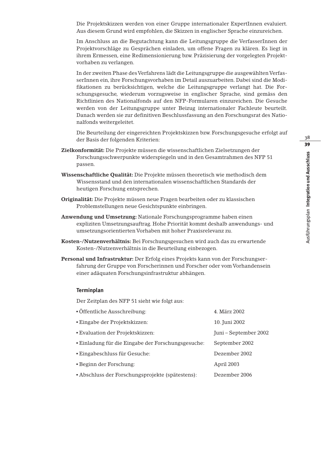Die Projektskizzen werden von einer Gruppe internationaler ExpertInnen evaluiert. Aus diesem Grund wird empfohlen, die Skizzen in englischer Sprache einzureichen.

Im Anschluss an die Begutachtung kann die Leitungsgruppe die VerfasserInnen der Projektvorschläge zu Gesprächen einladen, um offene Fragen zu klären. Es liegt in ihrem Ermessen, eine Redimensionierung bzw. Präzisierung der vorgelegten Projektvorhaben zu verlangen.

In der zweiten Phase des Verfahrens lädt die Leitungsgruppe die ausgewählten VerfasserInnen ein, ihre Forschungsvorhaben im Detail auszuarbeiten. Dabei sind die Modifikationen zu berücksichtigen, welche die Leitungsgruppe verlangt hat. Die Forschungsgesuche, wiederum vorzugsweise in englischer Sprache, sind gemäss den Richtlinien des Nationalfonds auf den NFP-Formularen einzureichen. Die Gesuche werden von der Leitungsgruppe unter Beizug internationaler Fachleute beurteilt. Danach werden sie zur definitiven Beschlussfassung an den Forschungsrat des Nationalfonds weitergeleitet.

Die Beurteilung der eingereichten Projektskizzen bzw. Forschungsgesuche erfolgt auf der Basis der folgenden Kriterien:

- **Zielkonformität:** Die Projekte müssen die wissenschaftlichen Zielsetzungen der Forschungsschwerpunkte widerspiegeln und in den Gesamtrahmen des NFP 51 passen.
- **Wissenschaftliche Qualität:** Die Projekte müssen theoretisch wie methodisch dem Wissensstand und den internationalen wissenschaftlichen Standards der heutigen Forschung entsprechen.
- **Originalität:** Die Projekte müssen neue Fragen bearbeiten oder zu klassischen Problemstellungen neue Gesichtspunkte einbringen.
- **Anwendung und Umsetzung:** Nationale Forschungsprogramme haben einen expliziten Umsetzungsauftrag. Hohe Priorität kommt deshalb anwendungs- und umsetzungsorientierten Vorhaben mit hoher Praxisrelevanz zu.
- **Kosten-/Nutzenverhältnis:** Bei Forschungsgesuchen wird auch das zu erwartende Kosten-/Nutzenverhältnis in die Beurteilung einbezogen.
- **Personal und Infrastruktur:** Der Erfolg eines Projekts kann von der Forschungserfahrung der Gruppe von Forscherinnen und Forscher oder vom Vorhandensein einer adäquaten Forschungsinfrastruktur abhängen.

#### **Terminplan**

Der Zeitplan des NFP 51 sieht wie folgt aus:

| • Öffentliche Ausschreibung:                     | 4. März 2002          |
|--------------------------------------------------|-----------------------|
| · Eingabe der Projektskizzen:                    | 10. Juni 2002         |
| • Evaluation der Projektskizzen:                 | Juni – September 2002 |
| Einladung für die Eingabe der Forschungsgesuche: | September 2002        |
| • Eingabeschluss für Gesuche:                    | Dezember 2002         |
| • Beginn der Forschung:                          | April 2003            |
| • Abschluss der Forschungsprojekte (spätestens): | Dezember 2006         |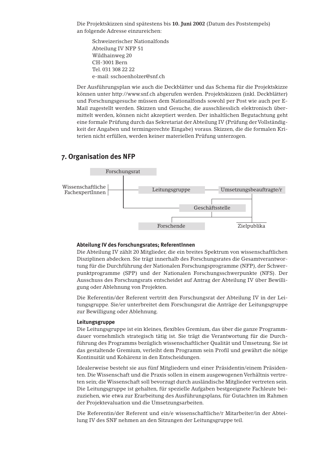Die Projektskizzen sind spätestens bis **10. Juni 2002** (Datum des Poststempels) an folgende Adresse einzureichen:

Schweizerischer Nationalfonds Abteilung IV NFP 51 Wildhainweg 20 CH-3001 Bern Tel. 031 308 22 22 e-mail: sschoenholzer@snf.ch

Der Ausführungsplan wie auch die Deckblätter und das Schema für die Projektskizze können unter http://www.snf.ch abgerufen werden. Projektskizzen (inkl. Deckblätter) und Forschungsgesuche müssen dem Nationalfonds sowohl per Post wie auch per E-Mail zugestellt werden. Skizzen und Gesuche, die ausschliesslich elektronisch übermittelt werden, können nicht akzeptiert werden. Der inhaltlichen Begutachtung geht eine formale Prüfung durch das Sekretariat der Abteilung IV (Prüfung der Vollständigkeit der Angaben und termingerechte Eingabe) voraus. Skizzen, die die formalen Kriterien nicht erfüllen, werden keiner materiellen Prüfung unterzogen.

#### **7. Organisation des NFP**



#### **Abteilung IV des Forschungsrates; ReferentInnen**

Die Abteilung IV zählt 20 Mitglieder, die ein breites Spektrum von wissenschaftlichen Disziplinen abdecken. Sie trägt innerhalb des Forschungsrates die Gesamtverantwortung für die Durchführung der Nationalen Forschungsprogramme (NFP), der Schwerpunktprogramme (SPP) und der Nationalen Forschungsschwerpunkte (NFS). Der Ausschuss des Forschungsrats entscheidet auf Antrag der Abteilung IV über Bewilligung oder Ablehnung von Projekten.

Die Referentin/der Referent vertritt den Forschungsrat der Abteilung IV in der Leitungsgruppe. Sie/er unterbreitet dem Forschungsrat die Anträge der Leitungsgruppe zur Bewilligung oder Ablehnung.

#### **Leitungsgruppe**

Die Leitungsgruppe ist ein kleines, flexibles Gremium, das über die ganze Programmdauer vornehmlich strategisch tätig ist. Sie trägt die Verantwortung für die Durchführung des Programms bezüglich wissenschaftlicher Qualität und Umsetzung. Sie ist das gestaltende Gremium, verleiht dem Programm sein Profil und gewährt die nötige Kontinuität und Kohärenz in den Entscheidungen.

Idealerweise besteht sie aus fünf Mitgliedern und einer Präsidentin/einem Präsidenten. Die Wissenschaft und die Praxis sollen in einem ausgewogenen Verhältnis vertreten sein; die Wissenschaft soll bevorzugt durch ausländische Mitglieder vertreten sein. Die Leitungsgruppe ist gehalten, für spezielle Aufgaben bestgeeignete Fachleute beizuziehen, wie etwa zur Erarbeitung des Ausführungsplans, für Gutachten im Rahmen der Projektevaluation und die Umsetzungsarbeiten.

Die Referentin/der Referent und ein/e wissenschaftliche/r Mitarbeiter/in der Abteilung IV des SNF nehmen an den Sitzungen der Leitungsgruppe teil.